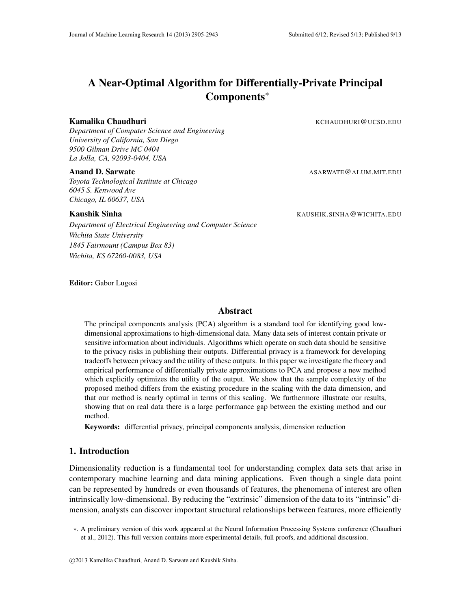# A Near-Optimal Algorithm for Differentially-Private Principal Components∗

*Department of Computer Science and Engineering University of California, San Diego 9500 Gilman Drive MC 0404 La Jolla, CA, 92093-0404, USA*

*Toyota Technological Institute at Chicago 6045 S. Kenwood Ave Chicago, IL 60637, USA*

# Kaushik Sinha Kaushik Sinha Kaushik Sinha Kaushik Sinha Muchi na kata kata kata kata kata sa maso kata kata ka

*Department of Electrical Engineering and Computer Science Wichita State University 1845 Fairmount (Campus Box 83) Wichita, KS 67260-0083, USA*

Editor: Gabor Lugosi

# Abstract

The principal components analysis (PCA) algorithm is a standard tool for identifying good lowdimensional approximations to high-dimensional data. Many data sets of interest contain private or sensitive information about individuals. Algorithms which operate on such data should be sensitive to the privacy risks in publishing their outputs. Differential privacy is a framework for developing tradeoffs between privacy and the utility of these outputs. In this paper we investigate the theory and empirical performance of differentially private approximations to PCA and propose a new method which explicitly optimizes the utility of the output. We show that the sample complexity of the proposed method differs from the existing procedure in the scaling with the data dimension, and that our method is nearly optimal in terms of this scaling. We furthermore illustrate our results, showing that on real data there is a large performance gap between the existing method and our method.

Keywords: differential privacy, principal components analysis, dimension reduction

# 1. Introduction

Dimensionality reduction is a fundamental tool for understanding complex data sets that arise in contemporary machine learning and data mining applications. Even though a single data point can be represented by hundreds or even thousands of features, the phenomena of interest are often intrinsically low-dimensional. By reducing the "extrinsic" dimension of the data to its "intrinsic" dimension, analysts can discover important structural relationships between features, more efficiently

Kamalika Chaudhuri Kamalika Chaudhuri Kamalika Chaudhuri KCHAUDHURI@UCSD.EDU

Anand D. Sarwate Assame ASARWATE@ALUM.MIT.EDU

<sup>∗</sup>. A preliminary version of this work appeared at the Neural Information Processing Systems conference (Chaudhuri et al., 2012). This full version contains more experimental details, full proofs, and additional discussion.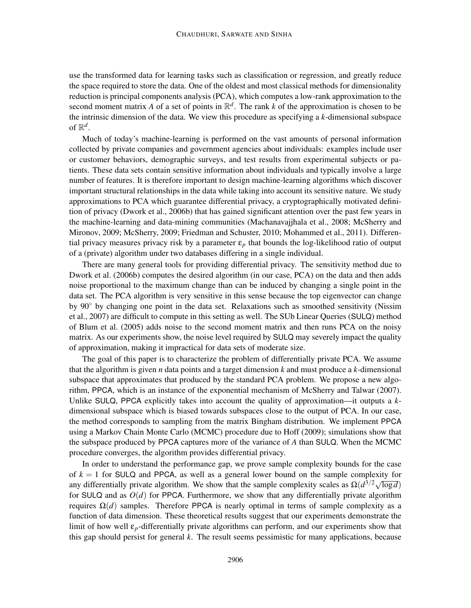use the transformed data for learning tasks such as classification or regression, and greatly reduce the space required to store the data. One of the oldest and most classical methods for dimensionality reduction is principal components analysis (PCA), which computes a low-rank approximation to the second moment matrix A of a set of points in  $\mathbb{R}^d$ . The rank k of the approximation is chosen to be the intrinsic dimension of the data. We view this procedure as specifying a *k*-dimensional subspace of  $\mathbb{R}^d$ .

Much of today's machine-learning is performed on the vast amounts of personal information collected by private companies and government agencies about individuals: examples include user or customer behaviors, demographic surveys, and test results from experimental subjects or patients. These data sets contain sensitive information about individuals and typically involve a large number of features. It is therefore important to design machine-learning algorithms which discover important structural relationships in the data while taking into account its sensitive nature. We study approximations to PCA which guarantee differential privacy, a cryptographically motivated definition of privacy (Dwork et al., 2006b) that has gained significant attention over the past few years in the machine-learning and data-mining communities (Machanavajjhala et al., 2008; McSherry and Mironov, 2009; McSherry, 2009; Friedman and Schuster, 2010; Mohammed et al., 2011). Differential privacy measures privacy risk by a parameter  $\varepsilon_p$  that bounds the log-likelihood ratio of output of a (private) algorithm under two databases differing in a single individual.

There are many general tools for providing differential privacy. The sensitivity method due to Dwork et al. (2006b) computes the desired algorithm (in our case, PCA) on the data and then adds noise proportional to the maximum change than can be induced by changing a single point in the data set. The PCA algorithm is very sensitive in this sense because the top eigenvector can change by 90◦ by changing one point in the data set. Relaxations such as smoothed sensitivity (Nissim et al., 2007) are difficult to compute in this setting as well. The SUb Linear Queries (SULQ) method of Blum et al. (2005) adds noise to the second moment matrix and then runs PCA on the noisy matrix. As our experiments show, the noise level required by SULQ may severely impact the quality of approximation, making it impractical for data sets of moderate size.

The goal of this paper is to characterize the problem of differentially private PCA. We assume that the algorithm is given *n* data points and a target dimension *k* and must produce a *k*-dimensional subspace that approximates that produced by the standard PCA problem. We propose a new algorithm, PPCA, which is an instance of the exponential mechanism of McSherry and Talwar (2007). Unlike SULQ, PPCA explicitly takes into account the quality of approximation—it outputs a *k*dimensional subspace which is biased towards subspaces close to the output of PCA. In our case, the method corresponds to sampling from the matrix Bingham distribution. We implement PPCA using a Markov Chain Monte Carlo (MCMC) procedure due to Hoff (2009); simulations show that the subspace produced by PPCA captures more of the variance of *A* than SULQ. When the MCMC procedure converges, the algorithm provides differential privacy.

In order to understand the performance gap, we prove sample complexity bounds for the case of  $k = 1$  for SULQ and PPCA, as well as a general lower bound on the sample complexity for any differentially private algorithm. We show that the sample complexity scales as  $\Omega(d^{3/2}\sqrt{\log d})$ for SULQ and as  $O(d)$  for PPCA. Furthermore, we show that any differentially private algorithm requires  $Ω(d)$  samples. Therefore PPCA is nearly optimal in terms of sample complexity as a function of data dimension. These theoretical results suggest that our experiments demonstrate the limit of how well ε*p*-differentially private algorithms can perform, and our experiments show that this gap should persist for general *k*. The result seems pessimistic for many applications, because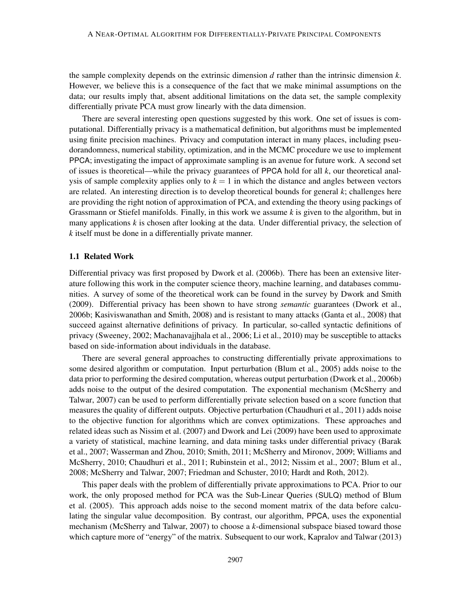the sample complexity depends on the extrinsic dimension *d* rather than the intrinsic dimension *k*. However, we believe this is a consequence of the fact that we make minimal assumptions on the data; our results imply that, absent additional limitations on the data set, the sample complexity differentially private PCA must grow linearly with the data dimension.

There are several interesting open questions suggested by this work. One set of issues is computational. Differentially privacy is a mathematical definition, but algorithms must be implemented using finite precision machines. Privacy and computation interact in many places, including pseudorandomness, numerical stability, optimization, and in the MCMC procedure we use to implement PPCA; investigating the impact of approximate sampling is an avenue for future work. A second set of issues is theoretical—while the privacy guarantees of PPCA hold for all *k*, our theoretical analysis of sample complexity applies only to  $k = 1$  in which the distance and angles between vectors are related. An interesting direction is to develop theoretical bounds for general *k*; challenges here are providing the right notion of approximation of PCA, and extending the theory using packings of Grassmann or Stiefel manifolds. Finally, in this work we assume *k* is given to the algorithm, but in many applications  $k$  is chosen after looking at the data. Under differential privacy, the selection of *k* itself must be done in a differentially private manner.

#### 1.1 Related Work

Differential privacy was first proposed by Dwork et al. (2006b). There has been an extensive literature following this work in the computer science theory, machine learning, and databases communities. A survey of some of the theoretical work can be found in the survey by Dwork and Smith (2009). Differential privacy has been shown to have strong *semantic* guarantees (Dwork et al., 2006b; Kasiviswanathan and Smith, 2008) and is resistant to many attacks (Ganta et al., 2008) that succeed against alternative definitions of privacy. In particular, so-called syntactic definitions of privacy (Sweeney, 2002; Machanavajjhala et al., 2006; Li et al., 2010) may be susceptible to attacks based on side-information about individuals in the database.

There are several general approaches to constructing differentially private approximations to some desired algorithm or computation. Input perturbation (Blum et al., 2005) adds noise to the data prior to performing the desired computation, whereas output perturbation (Dwork et al., 2006b) adds noise to the output of the desired computation. The exponential mechanism (McSherry and Talwar, 2007) can be used to perform differentially private selection based on a score function that measures the quality of different outputs. Objective perturbation (Chaudhuri et al., 2011) adds noise to the objective function for algorithms which are convex optimizations. These approaches and related ideas such as Nissim et al. (2007) and Dwork and Lei (2009) have been used to approximate a variety of statistical, machine learning, and data mining tasks under differential privacy (Barak et al., 2007; Wasserman and Zhou, 2010; Smith, 2011; McSherry and Mironov, 2009; Williams and McSherry, 2010; Chaudhuri et al., 2011; Rubinstein et al., 2012; Nissim et al., 2007; Blum et al., 2008; McSherry and Talwar, 2007; Friedman and Schuster, 2010; Hardt and Roth, 2012).

This paper deals with the problem of differentially private approximations to PCA. Prior to our work, the only proposed method for PCA was the Sub-Linear Queries (SULQ) method of Blum et al. (2005). This approach adds noise to the second moment matrix of the data before calculating the singular value decomposition. By contrast, our algorithm, PPCA, uses the exponential mechanism (McSherry and Talwar, 2007) to choose a *k*-dimensional subspace biased toward those which capture more of "energy" of the matrix. Subsequent to our work, Kapralov and Talwar (2013)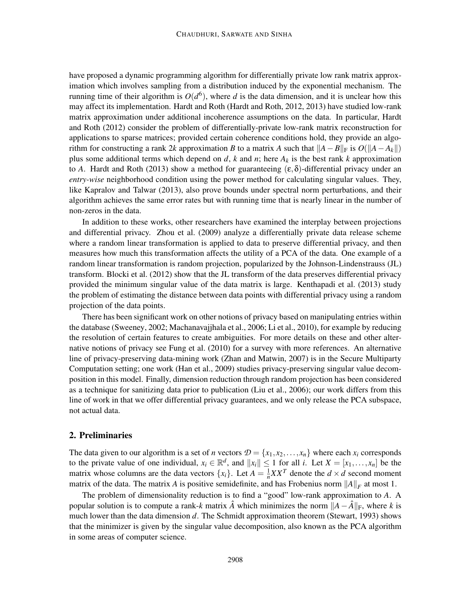have proposed a dynamic programming algorithm for differentially private low rank matrix approximation which involves sampling from a distribution induced by the exponential mechanism. The running time of their algorithm is  $O(d^6)$ , where *d* is the data dimension, and it is unclear how this may affect its implementation. Hardt and Roth (Hardt and Roth, 2012, 2013) have studied low-rank matrix approximation under additional incoherence assumptions on the data. In particular, Hardt and Roth (2012) consider the problem of differentially-private low-rank matrix reconstruction for applications to sparse matrices; provided certain coherence conditions hold, they provide an algorithm for constructing a rank 2*k* approximation *B* to a matrix *A* such that  $||A - B||_F$  is  $O(||A - A_k||)$ plus some additional terms which depend on *d*, *k* and *n*; here  $A_k$  is the best rank *k* approximation to *A*. Hardt and Roth (2013) show a method for guaranteeing  $(\epsilon, \delta)$ -differential privacy under an *entry-wise* neighborhood condition using the power method for calculating singular values. They, like Kapralov and Talwar (2013), also prove bounds under spectral norm perturbations, and their algorithm achieves the same error rates but with running time that is nearly linear in the number of non-zeros in the data.

In addition to these works, other researchers have examined the interplay between projections and differential privacy. Zhou et al. (2009) analyze a differentially private data release scheme where a random linear transformation is applied to data to preserve differential privacy, and then measures how much this transformation affects the utility of a PCA of the data. One example of a random linear transformation is random projection, popularized by the Johnson-Lindenstrauss (JL) transform. Blocki et al. (2012) show that the JL transform of the data preserves differential privacy provided the minimum singular value of the data matrix is large. Kenthapadi et al. (2013) study the problem of estimating the distance between data points with differential privacy using a random projection of the data points.

There has been significant work on other notions of privacy based on manipulating entries within the database (Sweeney, 2002; Machanavajjhala et al., 2006; Li et al., 2010), for example by reducing the resolution of certain features to create ambiguities. For more details on these and other alternative notions of privacy see Fung et al. (2010) for a survey with more references. An alternative line of privacy-preserving data-mining work (Zhan and Matwin, 2007) is in the Secure Multiparty Computation setting; one work (Han et al., 2009) studies privacy-preserving singular value decomposition in this model. Finally, dimension reduction through random projection has been considered as a technique for sanitizing data prior to publication (Liu et al., 2006); our work differs from this line of work in that we offer differential privacy guarantees, and we only release the PCA subspace, not actual data.

## 2. Preliminaries

The data given to our algorithm is a set of *n* vectors  $\mathcal{D} = \{x_1, x_2, \dots, x_n\}$  where each  $x_i$  corresponds to the private value of one individual,  $x_i \in \mathbb{R}^d$ , and  $||x_i|| \le 1$  for all *i*. Let  $X = [x_1, \ldots, x_n]$  be the matrix whose columns are the data vectors  $\{x_i\}$ . Let  $A = \frac{1}{n}$  $\frac{1}{n}XX^T$  denote the  $d \times d$  second moment matrix of the data. The matrix *A* is positive semidefinite, and has Frobenius norm  $||A||_F$  at most 1.

The problem of dimensionality reduction is to find a "good" low-rank approximation to *A*. A popular solution is to compute a rank-*k* matrix  $\hat{A}$  which minimizes the norm  $||A - \hat{A}||_F$ , where *k* is much lower than the data dimension *d*. The Schmidt approximation theorem (Stewart, 1993) shows that the minimizer is given by the singular value decomposition, also known as the PCA algorithm in some areas of computer science.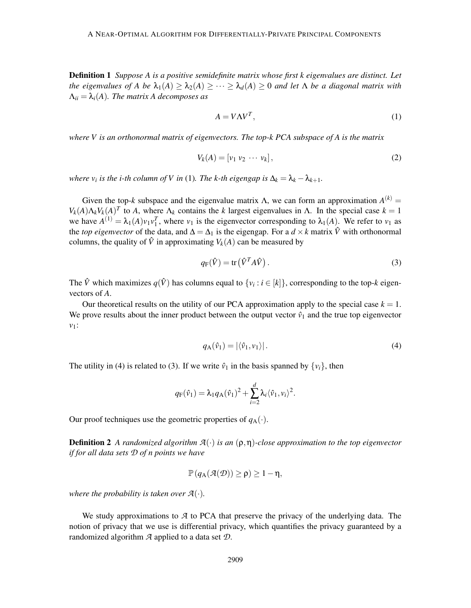Definition 1 *Suppose A is a positive semidefinite matrix whose first k eigenvalues are distinct. Let the eigenvalues of A be*  $\lambda_1(A) \geq \lambda_2(A) \geq \cdots \geq \lambda_d(A) \geq 0$  *and let*  $\Lambda$  *be a diagonal matrix with*  $\Lambda_{ii} = \lambda_i(A)$ *. The matrix A decomposes as* 

$$
A = V\Lambda V^T,\tag{1}
$$

*where V is an orthonormal matrix of eigenvectors. The top-k PCA subspace of A is the matrix*

$$
V_k(A) = [v_1 \ v_2 \ \cdots \ v_k], \tag{2}
$$

*where*  $v_i$  *is the i-th column of* V *in* (1). The *k-th eigengap is*  $\Delta_k = \lambda_k - \lambda_{k+1}$ .

Given the top-*k* subspace and the eigenvalue matrix  $\Lambda$ , we can form an approximation  $A^{(k)}$  = *V<sub>k</sub>*(*A*) $\Lambda_k V_k$ (*A*)<sup>*T*</sup> to *A*, where  $\Lambda_k$  contains the *k* largest eigenvalues in Λ. In the special case  $k = 1$ we have  $A^{(1)} = \lambda_1(A)v_1v_1^T$ , where  $v_1$  is the eigenvector corresponding to  $\lambda_1(A)$ . We refer to  $v_1$  as the *top eigenvector* of the data, and  $\Delta = \Delta_1$  is the eigengap. For a  $d \times k$  matrix  $\hat{V}$  with orthonormal columns, the quality of  $\hat{V}$  in approximating  $V_k(A)$  can be measured by

$$
q_{\mathcal{F}}(\hat{V}) = \text{tr}\left(\hat{V}^T A \hat{V}\right). \tag{3}
$$

The  $\hat{V}$  which maximizes  $q(\hat{V})$  has columns equal to  $\{v_i : i \in [k]\}$ , corresponding to the top-*k* eigenvectors of *A*.

Our theoretical results on the utility of our PCA approximation apply to the special case  $k = 1$ . We prove results about the inner product between the output vector  $\hat{v}_1$  and the true top eigenvector *v*1:

$$
q_{\mathbf{A}}(\hat{\mathbf{v}}_1) = |\langle \hat{\mathbf{v}}_1, \mathbf{v}_1 \rangle|.
$$
 (4)

The utility in (4) is related to (3). If we write  $\hat{v}_1$  in the basis spanned by  $\{v_i\}$ , then

$$
q_{\rm F}(\hat{v}_1) = \lambda_1 q_{\rm A}(\hat{v}_1)^2 + \sum_{i=2}^d \lambda_i \langle \hat{v}_1, v_i \rangle^2.
$$

Our proof techniques use the geometric properties of  $q_A(\cdot)$ .

Definition 2 *A randomized algorithm A*(·) *is an* (ρ,η)*-close approximation to the top eigenvector if for all data sets D of n points we have*

$$
\mathbb{P}\left(q_A(\mathcal{A}(\mathcal{D}))\geq \rho\right)\geq 1-\eta,
$$

*where the probability is taken over*  $\mathcal{A}(\cdot)$ *.* 

We study approximations to *A* to PCA that preserve the privacy of the underlying data. The notion of privacy that we use is differential privacy, which quantifies the privacy guaranteed by a randomized algorithm *A* applied to a data set *D*.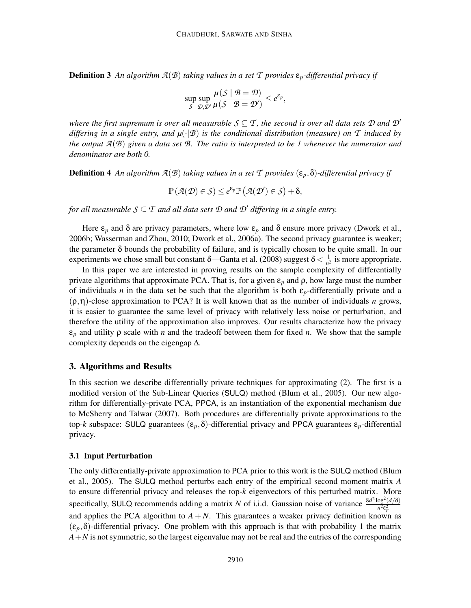**Definition 3** An algorithm  $A(B)$  taking values in a set  $T$  provides  $\varepsilon_p$ -differential privacy if

$$
\sup_{S} \sup_{\mathcal{D}, \mathcal{D}'} \frac{\mu(S \mid \mathcal{B} = \mathcal{D})}{\mu(S \mid \mathcal{B} = \mathcal{D}')} \leq e^{\varepsilon_p},
$$

*where the first supremum is over all measurable*  $S \subseteq T$ , the second is over all data sets  $D$  and  $D'$ *differing in a single entry, and µ*(·|*B*) *is the conditional distribution (measure) on T induced by the output A*(*B*) *given a data set B. The ratio is interpreted to be 1 whenever the numerator and denominator are both 0.*

**Definition 4** An algorithm  $\mathcal{A}(\mathcal{B})$  taking values in a set  $\mathcal{T}$  provides  $(\varepsilon_p, \delta)$ -differential privacy if

$$
\mathbb{P}\left(\mathcal{A}(\mathcal{D})\in\mathcal{S}\right)\leq e^{\epsilon_p}\mathbb{P}\left(\mathcal{A}(\mathcal{D}')\in\mathcal{S}\right)+\delta,
$$

*for all measurable*  $S \subseteq T$  *and all data sets*  $D$  *and*  $D'$  *differing in a single entry.* 

Here  $\varepsilon_p$  and  $\delta$  are privacy parameters, where low  $\varepsilon_p$  and  $\delta$  ensure more privacy (Dwork et al., 2006b; Wasserman and Zhou, 2010; Dwork et al., 2006a). The second privacy guarantee is weaker; the parameter  $\delta$  bounds the probability of failure, and is typically chosen to be quite small. In our experiments we chose small but constant  $\delta$ —Ganta et al. (2008) suggest  $\delta < \frac{1}{n^2}$  $\frac{1}{n^2}$  is more appropriate.

In this paper we are interested in proving results on the sample complexity of differentially private algorithms that approximate PCA. That is, for a given  $\varepsilon_p$  and  $\rho$ , how large must the number of individuals *n* in the data set be such that the algorithm is both  $\varepsilon_p$ -differentially private and a (ρ,η)-close approximation to PCA? It is well known that as the number of individuals *n* grows, it is easier to guarantee the same level of privacy with relatively less noise or perturbation, and therefore the utility of the approximation also improves. Our results characterize how the privacy ε*<sup>p</sup>* and utility ρ scale with *n* and the tradeoff between them for fixed *n*. We show that the sample complexity depends on the eigengap  $\Delta$ .

# 3. Algorithms and Results

In this section we describe differentially private techniques for approximating (2). The first is a modified version of the Sub-Linear Queries (SULQ) method (Blum et al., 2005). Our new algorithm for differentially-private PCA, PPCA, is an instantiation of the exponential mechanism due to McSherry and Talwar (2007). Both procedures are differentially private approximations to the top-*k* subspace: SULQ guarantees  $(\varepsilon_p, \delta)$ -differential privacy and PPCA guarantees  $\varepsilon_p$ -differential privacy.

# 3.1 Input Perturbation

The only differentially-private approximation to PCA prior to this work is the SULQ method (Blum et al., 2005). The SULQ method perturbs each entry of the empirical second moment matrix *A* to ensure differential privacy and releases the top-*k* eigenvectors of this perturbed matrix. More specifically, SULQ recommends adding a matrix *N* of i.i.d. Gaussian noise of variance  $\frac{8d^2 \log^2(d/\delta)}{n^2 \epsilon^2}$ *n* 2ε 2 *p* and applies the PCA algorithm to  $A + N$ . This guarantees a weaker privacy definition known as  $(\varepsilon_p, \delta)$ -differential privacy. One problem with this approach is that with probability 1 the matrix  $A + N$  is not symmetric, so the largest eigenvalue may not be real and the entries of the corresponding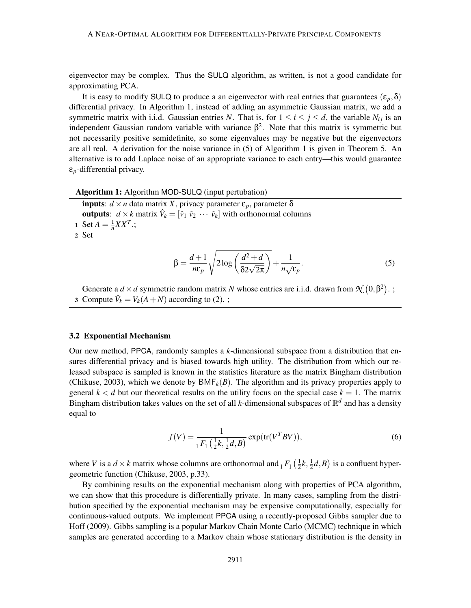eigenvector may be complex. Thus the SULQ algorithm, as written, is not a good candidate for approximating PCA.

It is easy to modify SULQ to produce a an eigenvector with real entries that guarantees  $(\varepsilon_p, \delta)$ differential privacy. In Algorithm 1, instead of adding an asymmetric Gaussian matrix, we add a symmetric matrix with i.i.d. Gaussian entries *N*. That is, for  $1 \le i \le j \le d$ , the variable  $N_{ij}$  is an independent Gaussian random variable with variance  $\beta^2$ . Note that this matrix is symmetric but not necessarily positive semidefinite, so some eigenvalues may be negative but the eigenvectors are all real. A derivation for the noise variance in (5) of Algorithm 1 is given in Theorem 5. An alternative is to add Laplace noise of an appropriate variance to each entry—this would guarantee ε*p*-differential privacy.

| <b>Algorithm 1:</b> Algorithm MOD-SULQ (input pertubation)                                                                                                  |  |
|-------------------------------------------------------------------------------------------------------------------------------------------------------------|--|
| <b>inputs</b> : $d \times n$ data matrix X, privacy parameter $\varepsilon_p$ , parameter $\delta$                                                          |  |
| <b>outputs</b> : $d \times k$ matrix $\hat{V}_k = [\hat{v}_1 \ \hat{v}_2 \ \cdots \ \hat{v}_k]$ with orthonormal columns<br>1 Set $A = \frac{1}{n}XX^{T}$ ; |  |
| 2 Set                                                                                                                                                       |  |
|                                                                                                                                                             |  |
| $\beta = \frac{d+1}{n\varepsilon_p} \sqrt{2\log\left(\frac{d^2+d}{\delta 2\sqrt{2\pi}}\right)} + \frac{1}{n\sqrt{\varepsilon_p}}.$                          |  |

Generate a  $d \times d$  symmetric random matrix *N* whose entries are i.i.d. drawn from  $\mathcal{N}(0, \beta^2)$ .; 3 Compute  $\hat{V}_k = V_k(A+N)$  according to (2). ;

#### 3.2 Exponential Mechanism

Our new method, PPCA, randomly samples a *k*-dimensional subspace from a distribution that ensures differential privacy and is biased towards high utility. The distribution from which our released subspace is sampled is known in the statistics literature as the matrix Bingham distribution (Chikuse, 2003), which we denote by  $\text{BMF}_k(B)$ . The algorithm and its privacy properties apply to general  $k < d$  but our theoretical results on the utility focus on the special case  $k = 1$ . The matrix Bingham distribution takes values on the set of all *k*-dimensional subspaces of  $\mathbb{R}^d$  and has a density equal to

$$
f(V) = \frac{1}{1F_1(\frac{1}{2}k, \frac{1}{2}d, B)} \exp(\text{tr}(V^T B V)),
$$
\n(6)

where *V* is a  $d \times k$  matrix whose columns are orthonormal and  $_1 F_1\left(\frac{1}{2}\right)$  $\frac{1}{2}k, \frac{1}{2}$  $(\frac{1}{2}d, B)$  is a confluent hypergeometric function (Chikuse, 2003, p.33).

By combining results on the exponential mechanism along with properties of PCA algorithm, we can show that this procedure is differentially private. In many cases, sampling from the distribution specified by the exponential mechanism may be expensive computationally, especially for continuous-valued outputs. We implement PPCA using a recently-proposed Gibbs sampler due to Hoff (2009). Gibbs sampling is a popular Markov Chain Monte Carlo (MCMC) technique in which samples are generated according to a Markov chain whose stationary distribution is the density in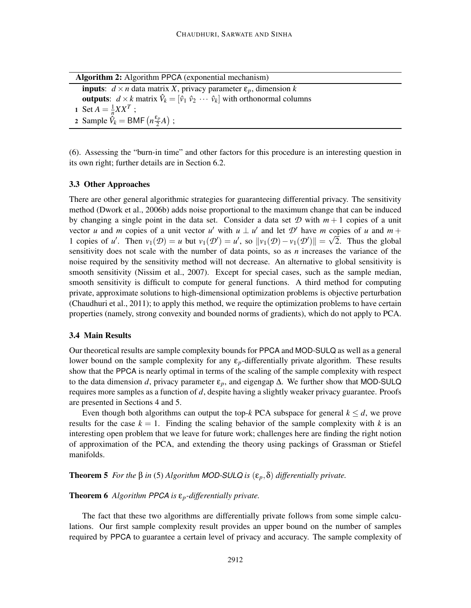Algorithm 2: Algorithm PPCA (exponential mechanism) inputs:  $d \times n$  data matrix *X*, privacy parameter  $\varepsilon_p$ , dimension *k* **outputs:**  $d \times k$  matrix  $\hat{V}_k = [\hat{v}_1 \ \hat{v}_2 \ \cdots \ \hat{v}_k]$  with orthonormal columns 1 Set  $A = \frac{1}{n}$  $\frac{1}{n}XX^T$ ; 2 Sample  $\hat{V}_k = \text{BMF}\left(n\frac{\varepsilon_p}{2}\right)$  $\frac{p}{2}A)$  ;

(6). Assessing the "burn-in time" and other factors for this procedure is an interesting question in its own right; further details are in Section 6.2.

#### 3.3 Other Approaches

There are other general algorithmic strategies for guaranteeing differential privacy. The sensitivity method (Dwork et al., 2006b) adds noise proportional to the maximum change that can be induced by changing a single point in the data set. Consider a data set  $\mathcal D$  with  $m+1$  copies of a unit vector *u* and *m* copies of a unit vector *u'* with  $u \perp u'$  and let  $\mathcal{D}'$  have *m* copies of *u* and  $m +$ 1 copies of *u'*. Then  $v_1(\mathcal{D}) = u$  but  $v_1(\mathcal{D}') = u'$ , so  $||v_1(\mathcal{D}) - v_1(\mathcal{D}')|| = \sqrt{2}$ . Thus the global sensitivity does not scale with the number of data points, so as *n* increases the variance of the noise required by the sensitivity method will not decrease. An alternative to global sensitivity is smooth sensitivity (Nissim et al., 2007). Except for special cases, such as the sample median, smooth sensitivity is difficult to compute for general functions. A third method for computing private, approximate solutions to high-dimensional optimization problems is objective perturbation (Chaudhuri et al., 2011); to apply this method, we require the optimization problems to have certain properties (namely, strong convexity and bounded norms of gradients), which do not apply to PCA.

# 3.4 Main Results

Our theoretical results are sample complexity bounds for PPCA and MOD-SULQ as well as a general lower bound on the sample complexity for any  $\varepsilon_p$ -differentially private algorithm. These results show that the PPCA is nearly optimal in terms of the scaling of the sample complexity with respect to the data dimension *d*, privacy parameter  $\varepsilon_p$ , and eigengap  $\Delta$ . We further show that MOD-SULQ requires more samples as a function of *d*, despite having a slightly weaker privacy guarantee. Proofs are presented in Sections 4 and 5.

Even though both algorithms can output the top- $k$  PCA subspace for general  $k \leq d$ , we prove results for the case  $k = 1$ . Finding the scaling behavior of the sample complexity with k is an interesting open problem that we leave for future work; challenges here are finding the right notion of approximation of the PCA, and extending the theory using packings of Grassman or Stiefel manifolds.

**Theorem 5** *For the* β *in* (5) *Algorithm MOD-SULQ is*  $(\varepsilon_p, \delta)$  *differentially private.* 

# Theorem 6 *Algorithm PPCA is* ε*p-differentially private.*

The fact that these two algorithms are differentially private follows from some simple calculations. Our first sample complexity result provides an upper bound on the number of samples required by PPCA to guarantee a certain level of privacy and accuracy. The sample complexity of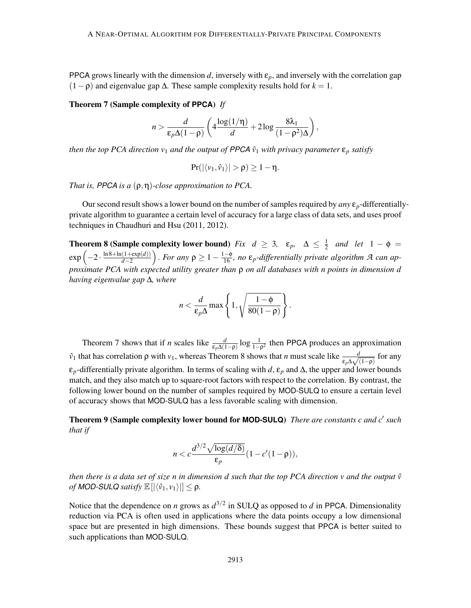PPCA grows linearly with the dimension  $d$ , inversely with  $\varepsilon_p$ , and inversely with the correlation gap  $(1-\rho)$  and eigenvalue gap  $\Delta$ . These sample complexity results hold for  $k = 1$ .

## Theorem 7 (Sample complexity of **PPCA**) *If*

$$
n > \frac{d}{\varepsilon_p \Delta (1 - \rho)} \left( 4 \frac{\log(1/\eta)}{d} + 2 \log \frac{8\lambda_1}{(1 - \rho^2)\Delta} \right)
$$

,

*then the top PCA direction v<sub>1</sub> and the output of PPCA*  $\hat{v}_1$  *with privacy parameter*  $\epsilon_p$  *satisfy* 

$$
Pr(|\langle v_1, \hat{v}_1 \rangle| > \rho) \ge 1 - \eta.
$$

*That is, PPCA is a* (ρ,η)*-close approximation to PCA.*

Our second result shows a lower bound on the number of samples required by *any* ε*p*-differentiallyprivate algorithm to guarantee a certain level of accuracy for a large class of data sets, and uses proof techniques in Chaudhuri and Hsu (2011, 2012).

**Theorem 8 (Sample complexity lower bound)** *Fix*  $d \geq 3$ ,  $\varepsilon_p$ ,  $\Delta \leq \frac{1}{2}$  $\frac{1}{2}$  and let  $1 - \phi =$  $\exp\left(-2\cdot\frac{\ln 8+\ln(1+\exp(d))}{d-2}\right)$ *d*−2  $\int$ . *For any*  $\rho \geq 1 - \frac{1-\phi}{16}$ , no  $\varepsilon_p$ -differentially private algorithm A can ap*proximate PCA with expected utility greater than* ρ *on all databases with n points in dimension d having eigenvalue gap* ∆*, where*

$$
n < \frac{d}{\varepsilon_p \Delta} \max \left\{ 1, \sqrt{\frac{1-\phi}{80(1-\rho)}} \right\}.
$$

Theorem 7 shows that if *n* scales like  $\frac{d}{\epsilon_p \Delta(1-\rho)} \log \frac{1}{1-\rho^2}$  then PPCA produces an approximation  $\hat{v}_1$  that has correlation *ρ* with *v*<sub>1</sub>, whereas Theorem 8 shows that *n* must scale like  $\frac{d}{\epsilon_p \Delta \sqrt{(1-\rho)}}$ for any  $\varepsilon_p$ -differentially private algorithm. In terms of scaling with *d*,  $\varepsilon_p$  and  $\Delta$ , the upper and lower bounds match, and they also match up to square-root factors with respect to the correlation. By contrast, the following lower bound on the number of samples required by MOD-SULQ to ensure a certain level of accuracy shows that MOD-SULQ has a less favorable scaling with dimension.

Theorem 9 (Sample complexity lower bound for **MOD-SULQ**) *There are constants c and c*′ *such that if*

$$
n < c \frac{d^{3/2} \sqrt{\log(d/\delta)}}{\varepsilon_p} (1 - c'(1 - \rho)),
$$

*then there is a data set of size n in dimension d such that the top PCA direction v and the output*  $\hat{v}$ *of MOD-SULQ satisfy*  $\mathbb{E} \left[ \left| \langle \hat{v}_1, v_1 \rangle \right| \right] \leq \rho$ .

Notice that the dependence on *n* grows as  $d^{3/2}$  in SULQ as opposed to *d* in PPCA. Dimensionality reduction via PCA is often used in applications where the data points occupy a low dimensional space but are presented in high dimensions. These bounds suggest that PPCA is better suited to such applications than MOD-SULQ.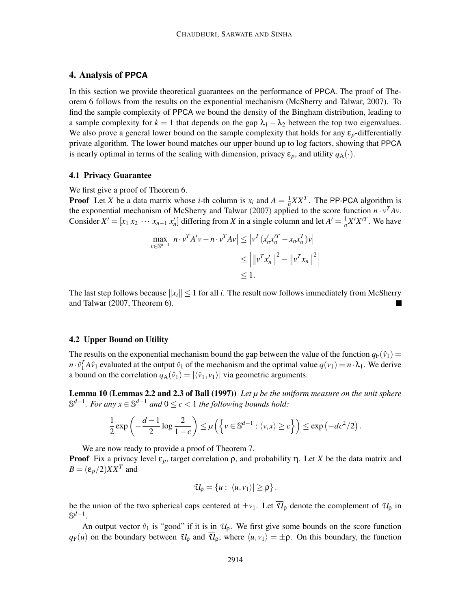# 4. Analysis of **PPCA**

In this section we provide theoretical guarantees on the performance of PPCA. The proof of Theorem 6 follows from the results on the exponential mechanism (McSherry and Talwar, 2007). To find the sample complexity of PPCA we bound the density of the Bingham distribution, leading to a sample complexity for  $k = 1$  that depends on the gap  $\lambda_1 - \lambda_2$  between the top two eigenvalues. We also prove a general lower bound on the sample complexity that holds for any  $\epsilon_p$ -differentially private algorithm. The lower bound matches our upper bound up to log factors, showing that PPCA is nearly optimal in terms of the scaling with dimension, privacy  $\varepsilon_p$ , and utility  $q_A(\cdot)$ .

#### 4.1 Privacy Guarantee

We first give a proof of Theorem 6.

**Proof** Let *X* be a data matrix whose *i*-th column is  $x_i$  and  $A = \frac{1}{n}$  $\frac{1}{n}XX^T$ . The PP-PCA algorithm is the exponential mechanism of McSherry and Talwar (2007) applied to the score function  $n \cdot v^T A v$ . Consider  $X' = [x_1 x_2 \cdots x_{n-1} x'_n]$  differing from *X* in a single column and let  $A' = \frac{1}{n}$  $\frac{1}{n}X'X'^T$ . We have

$$
\max_{v \in \mathbb{S}^{d-1}} |n \cdot v^T A' v - n \cdot v^T A v| \le |v^T (x'_n x_n'^T - x_n x_n^T) v|
$$
  

$$
\le ||v^T x'_n||^2 - ||v^T x_n||^2|
$$
  

$$
\le 1.
$$

The last step follows because  $||x_i|| \le 1$  for all *i*. The result now follows immediately from McSherry and Talwar (2007, Theorem 6).

#### 4.2 Upper Bound on Utility

The results on the exponential mechanism bound the gap between the value of the function  $q_F(\hat{v}_1)$  =  $n \cdot \hat{v}_1^T A \hat{v}_1$  evaluated at the output  $\hat{v}_1$  of the mechanism and the optimal value  $q(v_1) = n \cdot \lambda_1$ . We derive a bound on the correlation  $q_A(\hat{v}_1) = |\langle \hat{v}_1, v_1 \rangle|$  via geometric arguments.

Lemma 10 (Lemmas 2.2 and 2.3 of Ball (1997)) *Let µ be the uniform measure on the unit sphere* S *d*−1 *. For any x* <sup>∈</sup> <sup>S</sup> *<sup>d</sup>*−<sup>1</sup> *and* <sup>0</sup> <sup>≤</sup> *<sup>c</sup>* <sup>&</sup>lt; <sup>1</sup> *the following bounds hold:*

$$
\frac{1}{2}\exp\left(-\frac{d-1}{2}\log\frac{2}{1-c}\right)\leq\mu\left(\left\{\nu\in\mathbb{S}^{d-1}:\left\langle\nu,x\right\rangle\geq c\right\}\right)\leq\exp\left(-dc^2/2\right).
$$

We are now ready to provide a proof of Theorem 7.

**Proof** Fix a privacy level  $ε<sub>p</sub>$ , target correlation  $ρ$ , and probability  $η$ . Let *X* be the data matrix and  $B = (\varepsilon_p/2)XX^T$  and

$$
\mathcal{U}_{\rho} = \{u : |\langle u, v_1 \rangle| \geq \rho\}.
$$

be the union of the two spherical caps centered at  $\pm v_1$ . Let  $\overline{\mathcal{U}}_p$  denote the complement of  $\mathcal{U}_p$  in S *d*−1 .

An output vector  $\hat{v}_1$  is "good" if it is in  $\mathcal{U}_p$ . We first give some bounds on the score function  $q_F(u)$  on the boundary between  $\mathcal{U}_0$  and  $\overline{\mathcal{U}}_0$ , where  $\langle u, v_1 \rangle = \pm \rho$ . On this boundary, the function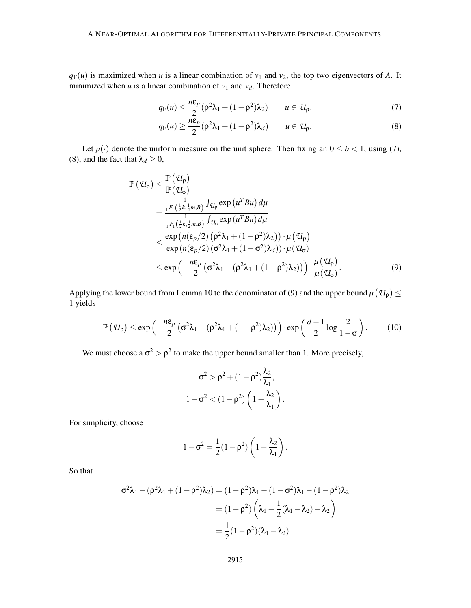$q_F(u)$  is maximized when *u* is a linear combination of  $v_1$  and  $v_2$ , the top two eigenvectors of *A*. It minimized when *u* is a linear combination of  $v_1$  and  $v_d$ . Therefore

$$
q_{\mathrm{F}}(u) \le \frac{n\varepsilon_p}{2} (\rho^2 \lambda_1 + (1 - \rho^2) \lambda_2) \qquad u \in \overline{\mathcal{U}}_{\rho},\tag{7}
$$

$$
q_{\mathrm{F}}(u) \ge \frac{n\varepsilon_p}{2} (\rho^2 \lambda_1 + (1 - \rho^2) \lambda_d) \qquad u \in \mathcal{U}_p. \tag{8}
$$

Let  $\mu(\cdot)$  denote the uniform measure on the unit sphere. Then fixing an  $0 \leq b < 1$ , using (7), (8), and the fact that  $\lambda_d \geq 0$ ,

$$
\mathbb{P}\left(\overline{u}_{\rho}\right) \leq \frac{\mathbb{P}\left(\overline{u}_{\rho}\right)}{\mathbb{P}\left(u_{\sigma}\right)} \\
= \frac{\frac{1}{1^{F_{1}\left(\frac{1}{2}k,\frac{1}{2}m,B\right)}\int_{\overline{u}_{\rho}} \exp\left(u^{T}Bu\right) d\mu}}{\frac{1}{1^{F_{1}\left(\frac{1}{2}k,\frac{1}{2}m,B\right)}\int_{u_{\sigma}} \exp\left(u^{T}Bu\right) d\mu} \\
\leq \frac{\exp\left(n\left(\varepsilon_{p}/2\right)\left(\rho^{2}\lambda_{1} + (1-\rho^{2})\lambda_{2}\right)\right) \cdot \mu\left(\overline{u}_{\rho}\right)}{\exp\left(n\left(\varepsilon_{p}/2\right)\left(\sigma^{2}\lambda_{1} + (1-\sigma^{2})\lambda_{d}\right)\right) \cdot \mu\left(u_{\sigma}\right)} \\
\leq \exp\left(-\frac{n\varepsilon_{p}}{2}\left(\sigma^{2}\lambda_{1} - (\rho^{2}\lambda_{1} + (1-\rho^{2})\lambda_{2})\right)\right) \cdot \frac{\mu\left(\overline{u}_{\rho}\right)}{\mu\left(u_{\sigma}\right)}.
$$
\n(9)

Applying the lower bound from Lemma 10 to the denominator of (9) and the upper bound  $\mu(\overline{u}_{\rho}) \le$ 1 yields

$$
\mathbb{P}\left(\overline{\mathcal{U}}_{\rho}\right) \leq \exp\left(-\frac{n\varepsilon_{p}}{2}\left(\sigma^{2}\lambda_{1}-(\rho^{2}\lambda_{1}+(1-\rho^{2})\lambda_{2})\right)\right) \cdot \exp\left(\frac{d-1}{2}\log\frac{2}{1-\sigma}\right). \tag{10}
$$

We must choose a  $\sigma^2 > \rho^2$  to make the upper bound smaller than 1. More precisely,

$$
\sigma^2 > \rho^2 + (1-\rho^2)\frac{\lambda_2}{\lambda_1},
$$
  

$$
1-\sigma^2 < (1-\rho^2)\left(1-\frac{\lambda_2}{\lambda_1}\right).
$$

For simplicity, choose

$$
1 - \sigma^2 = \frac{1}{2}(1 - \rho^2)\left(1 - \frac{\lambda_2}{\lambda_1}\right).
$$

So that

$$
\sigma^2 \lambda_1 - (\rho^2 \lambda_1 + (1 - \rho^2) \lambda_2) = (1 - \rho^2) \lambda_1 - (1 - \sigma^2) \lambda_1 - (1 - \rho^2) \lambda_2
$$

$$
= (1 - \rho^2) \left( \lambda_1 - \frac{1}{2} (\lambda_1 - \lambda_2) - \lambda_2 \right)
$$

$$
= \frac{1}{2} (1 - \rho^2) (\lambda_1 - \lambda_2)
$$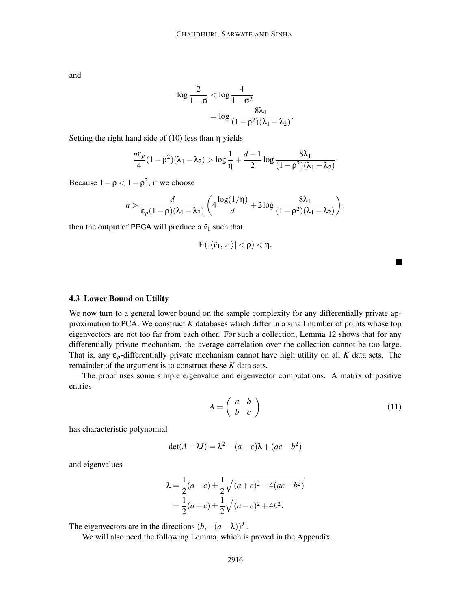and

$$
\log \frac{2}{1-\sigma} < \log \frac{4}{1-\sigma^2} \\
 = \log \frac{8\lambda_1}{(1-\rho^2)(\lambda_1 - \lambda_2)}.
$$

Setting the right hand side of  $(10)$  less than  $\eta$  yields

$$
\frac{n\varepsilon_p}{4}(1-\rho^2)(\lambda_1-\lambda_2)>\log \frac{1}{\eta}+\frac{d-1}{2}\log \frac{8\lambda_1}{(1-\rho^2)(\lambda_1-\lambda_2)}.
$$

Because  $1 - \rho < 1 - \rho^2$ , if we choose

$$
n > \frac{d}{\varepsilon_p(1-\rho)(\lambda_1-\lambda_2)} \left(4\frac{\log(1/\eta)}{d} + 2\log\frac{8\lambda_1}{(1-\rho^2)(\lambda_1-\lambda_2)}\right),
$$

then the output of PPCA will produce a  $\hat{v}_1$  such that

$$
\mathbb{P}\left(|\langle \hat{\nu}_1,\nu_1\rangle|<\rho\right)<\eta.
$$

#### 4.3 Lower Bound on Utility

We now turn to a general lower bound on the sample complexity for any differentially private approximation to PCA. We construct *K* databases which differ in a small number of points whose top eigenvectors are not too far from each other. For such a collection, Lemma 12 shows that for any differentially private mechanism, the average correlation over the collection cannot be too large. That is, any  $\varepsilon_p$ -differentially private mechanism cannot have high utility on all *K* data sets. The remainder of the argument is to construct these *K* data sets.

The proof uses some simple eigenvalue and eigenvector computations. A matrix of positive entries

$$
A = \left(\begin{array}{cc} a & b \\ b & c \end{array}\right) \tag{11}
$$

has characteristic polynomial

$$
det(A - \lambda I) = \lambda^2 - (a + c)\lambda + (ac - b^2)
$$

and eigenvalues

$$
\lambda = \frac{1}{2}(a+c) \pm \frac{1}{2}\sqrt{(a+c)^2 - 4(ac-b^2)}
$$
  
=  $\frac{1}{2}(a+c) \pm \frac{1}{2}\sqrt{(a-c)^2 + 4b^2}$ .

The eigenvectors are in the directions  $(b, -(a - \lambda))^T$ .

We will also need the following Lemma, which is proved in the Appendix.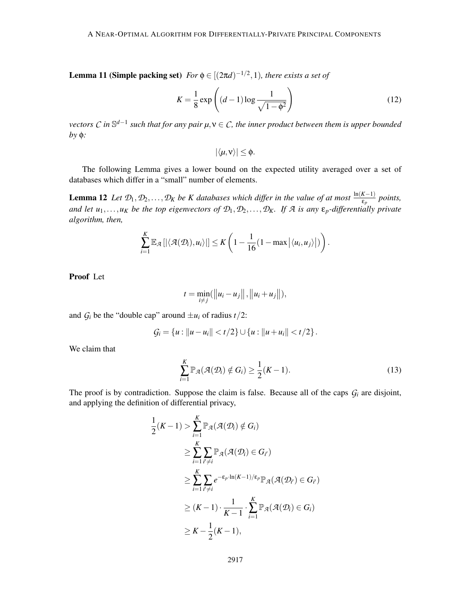**Lemma 11 (Simple packing set)**  $For \phi \in [(2\pi d)^{-1/2}, 1)$ *, there exists a set of* 

$$
K = \frac{1}{8} \exp\left( (d-1) \log \frac{1}{\sqrt{1-\phi^2}} \right) \tag{12}
$$

*vectors C in* S *d*−1 *such that for any pair µ*,ν ∈ *C, the inner product between them is upper bounded by* φ*:*

$$
|\langle \mu, v \rangle| \leq \phi.
$$

The following Lemma gives a lower bound on the expected utility averaged over a set of databases which differ in a "small" number of elements.

**Lemma 12** *Let*  $\mathcal{D}_1, \mathcal{D}_2, \ldots, \mathcal{D}_K$  *be K* databases which differ in the value of at most  $\frac{\ln(K-1)}{\varepsilon_p}$  points, *and let*  $u_1, \ldots, u_K$  *be the top eigenvectors of*  $\mathcal{D}_1, \mathcal{D}_2, \ldots, \mathcal{D}_K$ *. If*  $\mathcal A$  *is any*  $\epsilon_p$ *-differentially private algorithm, then,*

$$
\sum_{i=1}^K \mathbb{E}_{\mathcal{A}}\left[ \left| \langle \mathcal{A}(\mathcal{D}_i), u_i \rangle \right| \right] \leq K \left(1 - \frac{1}{16} (1 - \max \left| \langle u_i, u_j \rangle \right|) \right).
$$

Proof Let

$$
t = \min_{i \neq j} (\|u_i - u_j\|, \|u_i + u_j\|),
$$

and  $G_i$  be the "double cap" around  $\pm u_i$  of radius  $t/2$ :

$$
\mathcal{G}_i = \{u : ||u - u_i|| < t/2\} \cup \{u : ||u + u_i|| < t/2\}.
$$

We claim that

$$
\sum_{i=1}^{K} \mathbb{P}_{\mathcal{A}}(\mathcal{A}(\mathcal{D}_{i}) \notin G_{i}) \geq \frac{1}{2}(K-1).
$$
\n(13)

The proof is by contradiction. Suppose the claim is false. Because all of the caps  $G_i$  are disjoint, and applying the definition of differential privacy,

$$
\frac{1}{2}(K-1) > \sum_{i=1}^{K} \mathbb{P}_{\mathcal{A}}(\mathcal{A}(\mathcal{D}_{i}) \notin G_{i})
$$
\n
$$
\geq \sum_{i=1}^{K} \sum_{i' \neq i} \mathbb{P}_{\mathcal{A}}(\mathcal{A}(\mathcal{D}_{i}) \in G_{i'})
$$
\n
$$
\geq \sum_{i=1}^{K} \sum_{i' \neq i} e^{-\epsilon_{p} \cdot \ln(K-1)/\epsilon_{p}} \mathbb{P}_{\mathcal{A}}(\mathcal{A}(\mathcal{D}_{i'}) \in G_{i'})
$$
\n
$$
\geq (K-1) \cdot \frac{1}{K-1} \cdot \sum_{i=1}^{K} \mathbb{P}_{\mathcal{A}}(\mathcal{A}(\mathcal{D}_{i}) \in G_{i})
$$
\n
$$
\geq K - \frac{1}{2}(K-1),
$$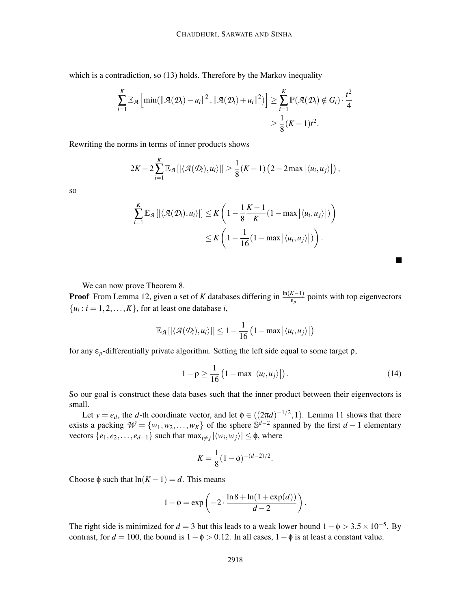which is a contradiction, so (13) holds. Therefore by the Markov inequality

$$
\sum_{i=1}^{K} \mathbb{E}_{\mathcal{A}} \left[ \min(\|\mathcal{A}(\mathcal{D}_{i}) - u_{i}\|^{2}, \|\mathcal{A}(\mathcal{D}_{i}) + u_{i}\|^{2}) \right] \geq \sum_{i=1}^{K} \mathbb{P}(\mathcal{A}(\mathcal{D}_{i}) \notin G_{i}) \cdot \frac{t^{2}}{4}
$$

$$
\geq \frac{1}{8} (K - 1)t^{2}.
$$

Rewriting the norms in terms of inner products shows

$$
2K-2\sum_{i=1}^K \mathbb{E}_{\mathcal{A}}\left[\left|\left\langle \mathcal{A}(\mathcal{D}_i),u_i\right\rangle\right|\right] \geq \frac{1}{8}(K-1)\left(2-2\max\left|\left\langle u_i,u_j\right\rangle\right|\right),
$$

so

$$
\sum_{i=1}^{K} \mathbb{E}_{\mathcal{A}}\left[ \left| \langle \mathcal{A}(\mathcal{D}_{i}), u_{i} \rangle \right| \right] \leq K \left( 1 - \frac{1}{8} \frac{K - 1}{K} (1 - \max \left| \langle u_{i}, u_{j} \rangle \right|) \right)
$$
  

$$
\leq K \left( 1 - \frac{1}{16} (1 - \max \left| \langle u_{i}, u_{j} \rangle \right|) \right).
$$

We can now prove Theorem 8.

**Proof** From Lemma 12, given a set of *K* databases differing in  $\frac{\ln(K-1)}{\varepsilon_p}$  points with top eigenvectors  $\{u_i : i = 1, 2, \dots, K\}$ , for at least one database *i*,

$$
\mathbb{E}_{\mathcal{A}}\left[\left|\left\langle \mathcal{A}(\mathcal{D}_{i}), u_{i}\right\rangle\right|\right] \leq 1 - \frac{1}{16}\left(1 - \max\left|\left\langle u_{i}, u_{j}\right\rangle\right|\right)
$$

for any ε*p*-differentially private algorithm. Setting the left side equal to some target ρ,

$$
1 - \rho \ge \frac{1}{16} \left( 1 - \max \left| \langle u_i, u_j \rangle \right| \right). \tag{14}
$$

 $\blacksquare$ 

So our goal is construct these data bases such that the inner product between their eigenvectors is small.

Let  $y = e_d$ , the *d*-th coordinate vector, and let  $\phi \in ((2\pi d)^{-1/2}, 1)$ . Lemma 11 shows that there exists a packing  $W = \{w_1, w_2, \dots, w_K\}$  of the sphere  $\mathbb{S}^{d-2}$  spanned by the first *d* − 1 elementary  $\{e_1, e_2, \ldots, e_{d-1}\}$  such that  $\max_{i \neq j} |\langle w_i, w_j \rangle| \leq \phi$ , where

$$
K = \frac{1}{8}(1 - \phi)^{-(d-2)/2}.
$$

Choose  $\phi$  such that  $ln(K-1) = d$ . This means

$$
1 - \phi = \exp\left(-2 \cdot \frac{\ln 8 + \ln(1 + \exp(d))}{d - 2}\right).
$$

The right side is minimized for  $d = 3$  but this leads to a weak lower bound  $1 - \phi > 3.5 \times 10^{-5}$ . By contrast, for  $d = 100$ , the bound is  $1 - \phi > 0.12$ . In all cases,  $1 - \phi$  is at least a constant value.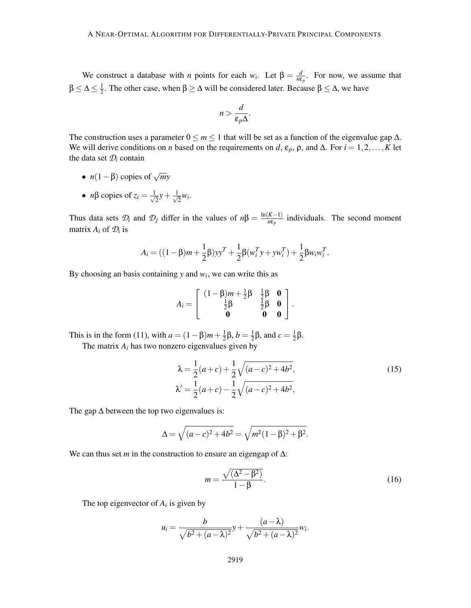We construct a database with *n* points for each *w<sub>i</sub>*. Let  $\beta = \frac{d}{d\beta}$  $\frac{d}{n\varepsilon_p}$ . For now, we assume that  $\beta \leq \Delta \leq \frac{1}{2}$  $\frac{1}{2}$ . The other case, when β  $\geq$  Δ will be considered later. Because β  $\leq$  Δ, we have

$$
n > \frac{d}{\varepsilon_p \Delta}.
$$

The construction uses a parameter  $0 \le m \le 1$  that will be set as a function of the eigenvalue gap  $\Delta$ . We will derive conditions on *n* based on the requirements on *d*,  $\varepsilon_p$ ,  $\rho$ , and  $\Delta$ . For  $i = 1, 2, ..., K$  let the data set  $\mathcal{D}_i$  contain

- $n(1-\beta)$  copies of  $\sqrt{m}y$
- *n* $\beta$  copies of  $z_i = \frac{1}{\sqrt{2}}$  $\frac{1}{2}y + \frac{1}{\sqrt{2}}$  $\overline{2}^{W_i}$

Thus data sets  $\mathcal{D}_i$  and  $\mathcal{D}_j$  differ in the values of  $n\beta = \frac{\ln(K-1)}{n\varepsilon_p}$  individuals. The second moment matrix  $A_i$  of  $D_i$  is

$$
A_i = ((1 - \beta)m + \frac{1}{2}\beta)yy^T + \frac{1}{2}\beta(w_i^T y + yw_i^T) + \frac{1}{2}\beta w_i w_i^T.
$$

By choosing an basis containing  $y$  and  $w_i$ , we can write this as

$$
A_i = \begin{bmatrix} (1 - \beta)m + \frac{1}{2}\beta & \frac{1}{2}\beta & \mathbf{0} \\ \frac{1}{2}\beta & \frac{1}{2}\beta & \mathbf{0} \\ \mathbf{0} & \mathbf{0} & \mathbf{0} \end{bmatrix}.
$$

This is in the form (11), with  $a = (1 - \beta)m + \frac{1}{2}$  $\frac{1}{2}$ β, *b* =  $\frac{1}{2}$  $\frac{1}{2}$ β, and *c* =  $\frac{1}{2}$  $rac{1}{2}β$ .

The matrix  $A_i$  has two nonzero eigenvalues given by

$$
\lambda = \frac{1}{2}(a+c) + \frac{1}{2}\sqrt{(a-c)^2 + 4b^2},
$$
  
\n
$$
\lambda' = \frac{1}{2}(a+c) - \frac{1}{2}\sqrt{(a-c)^2 + 4b^2},
$$
\n(15)

The gap  $\Delta$  between the top two eigenvalues is:

$$
\Delta = \sqrt{(a-c)^2 + 4b^2} = \sqrt{m^2(1-\beta)^2 + \beta^2}.
$$

We can thus set *m* in the construction to ensure an eigengap of ∆:

$$
m = \frac{\sqrt{(\Delta^2 - \beta^2)}}{1 - \beta}.
$$
 (16)

The top eigenvector of  $A_i$  is given by

$$
u_i = \frac{b}{\sqrt{b^2 + (a - \lambda)^2}} y + \frac{(a - \lambda)}{\sqrt{b^2 + (a - \lambda)^2}} w_i.
$$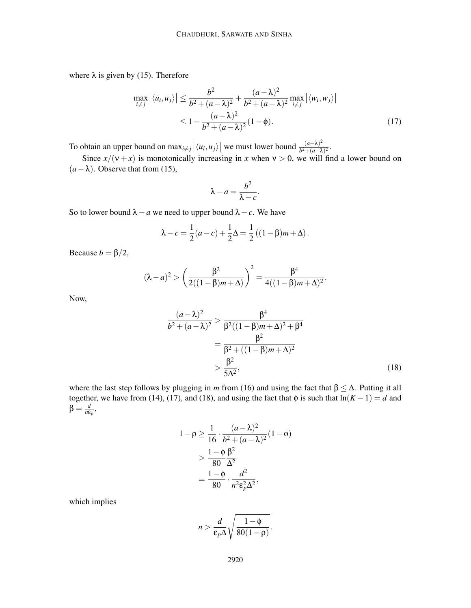where  $\lambda$  is given by (15). Therefore

$$
\max_{i \neq j} |\langle u_i, u_j \rangle| \leq \frac{b^2}{b^2 + (a - \lambda)^2} + \frac{(a - \lambda)^2}{b^2 + (a - \lambda)^2} \max_{i \neq j} |\langle w_i, w_j \rangle|
$$
  
 
$$
\leq 1 - \frac{(a - \lambda)^2}{b^2 + (a - \lambda)^2} (1 - \phi).
$$
 (17)

To obtain an upper bound on  $\max_{i \neq j} |\langle u_i, u_j \rangle|$  we must lower bound  $\frac{(a-\lambda)^2}{b^2+(a-\lambda)^2}$  $\frac{(a-\lambda)^2}{b^2+(a-\lambda)^2}$ 

Since  $x/(v+x)$  is monotonically increasing in *x* when  $v > 0$ , we will find a lower bound on  $(a - \lambda)$ . Observe that from (15),

$$
\lambda - a = \frac{b^2}{\lambda - c}.
$$

So to lower bound  $\lambda - a$  we need to upper bound  $\lambda - c$ . We have

$$
\lambda - c = \frac{1}{2}(a - c) + \frac{1}{2}\Delta = \frac{1}{2}((1 - \beta)m + \Delta).
$$

Because  $b = \beta/2$ ,

$$
(\lambda - a)^2 > \left(\frac{\beta^2}{2((1 - \beta)m + \Delta)}\right)^2 = \frac{\beta^4}{4((1 - \beta)m + \Delta)^2}.
$$

Now,

$$
\frac{(a-\lambda)^2}{b^2 + (a-\lambda)^2} > \frac{\beta^4}{\beta^2 ((1-\beta)m + \Delta)^2 + \beta^4}
$$
  
= 
$$
\frac{\beta^2}{\beta^2 + ((1-\beta)m + \Delta)^2}
$$
  
> 
$$
\frac{\beta^2}{5\Delta^2},
$$
 (18)

where the last step follows by plugging in *m* from (16) and using the fact that  $\beta \leq \Delta$ . Putting it all together, we have from (14), (17), and (18), and using the fact that  $\phi$  is such that  $\ln(K-1) = d$  and β = *d*  $\frac{d}{n\varepsilon_p}$ ,

$$
1 - \rho \ge \frac{1}{16} \cdot \frac{(a - \lambda)^2}{b^2 + (a - \lambda)^2} (1 - \phi)
$$
  
> 
$$
\frac{1 - \phi}{80} \frac{\beta^2}{\Delta^2}
$$
  
= 
$$
\frac{1 - \phi}{80} \cdot \frac{d^2}{n^2 \epsilon_p^2 \Delta^2},
$$

which implies

$$
n > \frac{d}{\varepsilon_p \Delta} \sqrt{\frac{1-\phi}{80(1-\rho)}}.
$$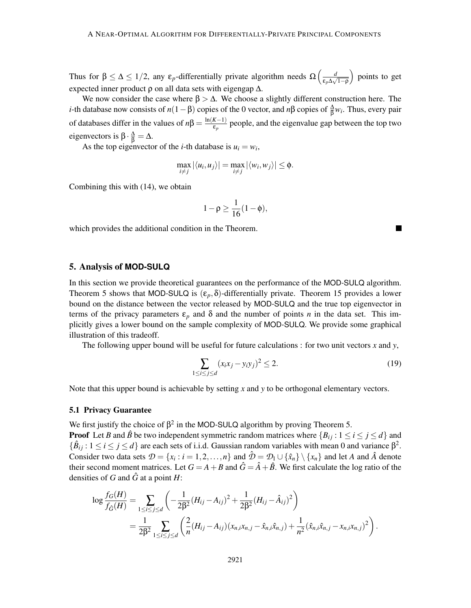Thus for  $\beta \leq \Delta \leq 1/2$ , any  $\varepsilon_p$ -differentially private algorithm needs  $\Omega\left(\frac{d}{\varepsilon_p\Delta\sqrt{1-\varepsilon_p}}\right)$ ε*p*∆ √ 1−ρ points to get expected inner product  $\rho$  on all data sets with eigengap  $\Delta$ .

We now consider the case where  $\beta > \Delta$ . We choose a slightly different construction here. The *i*-th database now consists of  $n(1 - \beta)$  copies of the 0 vector, and  $n\beta$  copies of  $\frac{\Delta}{\beta}w_i$ . Thus, every pair of databases differ in the values of  $n\beta = \frac{\ln(K-1)}{\epsilon_p}$  people, and the eigenvalue gap between the top two eigenvectors is  $\beta \cdot \frac{\Delta}{\beta} = \Delta$ .

As the top eigenvector of the *i*-th database is  $u_i = w_i$ ,

$$
\max_{i \neq j} |\langle u_i, u_j \rangle| = \max_{i \neq j} |\langle w_i, w_j \rangle| \leq \phi.
$$

Combining this with (14), we obtain

$$
1-\rho\geq \frac{1}{16}(1-\phi),
$$

which provides the additional condition in the Theorem.

# 5. Analysis of **MOD-SULQ**

In this section we provide theoretical guarantees on the performance of the MOD-SULQ algorithm. Theorem 5 shows that MOD-SULQ is  $(\varepsilon_p, \delta)$ -differentially private. Theorem 15 provides a lower bound on the distance between the vector released by MOD-SULQ and the true top eigenvector in terms of the privacy parameters  $\varepsilon_p$  and  $\delta$  and the number of points *n* in the data set. This implicitly gives a lower bound on the sample complexity of MOD-SULQ. We provide some graphical illustration of this tradeoff.

The following upper bound will be useful for future calculations : for two unit vectors *x* and *y*,

$$
\sum_{1 \le i \le j \le d} (x_i x_j - y_i y_j)^2 \le 2. \tag{19}
$$

Note that this upper bound is achievable by setting *x* and *y* to be orthogonal elementary vectors.

#### 5.1 Privacy Guarantee

We first justify the choice of  $\beta^2$  in the MOD-SULQ algorithm by proving Theorem 5.

**Proof** Let *B* and  $\hat{B}$  be two independent symmetric random matrices where  $\{B_{ij}: 1 \le i \le j \le d\}$  and  $\{\hat{B}_{ij} : 1 \le i \le j \le d\}$  are each sets of i.i.d. Gaussian random variables with mean 0 and variance  $\beta^2$ . Consider two data sets  $\mathcal{D} = \{x_i : i = 1, 2, ..., n\}$  and  $\hat{\mathcal{D}} = \mathcal{D}_1 \cup \{\hat{x}_n\} \setminus \{x_n\}$  and let *A* and  $\hat{A}$  denote their second moment matrices. Let  $G = A + B$  and  $\hat{G} = \hat{A} + \hat{B}$ . We first calculate the log ratio of the densities of *G* and  $\hat{G}$  at a point *H*:

$$
\log \frac{f_G(H)}{f_{\hat{G}}(H)} = \sum_{1 \le i \le j \le d} \left( -\frac{1}{2\beta^2} (H_{ij} - A_{ij})^2 + \frac{1}{2\beta^2} (H_{ij} - \hat{A}_{ij})^2 \right)
$$
  
= 
$$
\frac{1}{2\beta^2} \sum_{1 \le i \le j \le d} \left( \frac{2}{n} (H_{ij} - A_{ij}) (x_{n,i}x_{n,j} - \hat{x}_{n,i} \hat{x}_{n,j}) + \frac{1}{n^2} (\hat{x}_{n,i} \hat{x}_{n,j} - x_{n,i} x_{n,j})^2 \right).
$$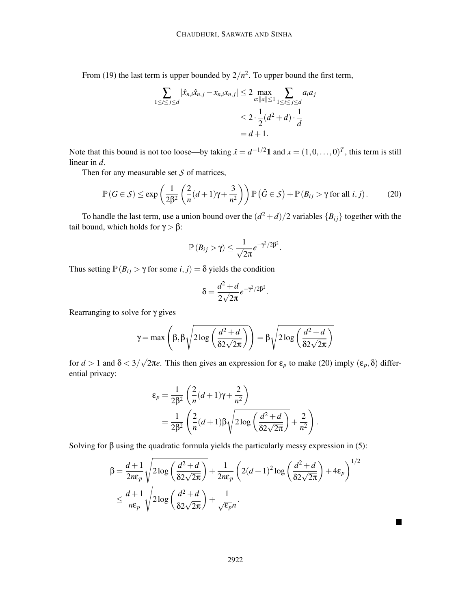From (19) the last term is upper bounded by  $2/n^2$ . To upper bound the first term,

$$
\sum_{1 \le i \le j \le d} |\hat{x}_{n,i}\hat{x}_{n,j} - x_{n,i}x_{n,j}| \le 2 \max_{a: ||a|| \le 1} \sum_{1 \le i \le j \le d} a_i a_j
$$
  

$$
\le 2 \cdot \frac{1}{2} (d^2 + d) \cdot \frac{1}{d}
$$
  
= d + 1.

Note that this bound is not too loose—by taking  $\hat{x} = d^{-1/2}1$  and  $x = (1, 0, \dots, 0)^T$ , this term is still linear in *d*.

Then for any measurable set *S* of matrices,

$$
\mathbb{P}(G \in \mathcal{S}) \le \exp\left(\frac{1}{2\beta^2} \left(\frac{2}{n}(d+1)\gamma + \frac{3}{n^2}\right)\right) \mathbb{P}\left(\hat{G} \in \mathcal{S}\right) + \mathbb{P}\left(B_{ij} > \gamma \text{ for all } i, j\right). \tag{20}
$$

To handle the last term, use a union bound over the  $(d^2 + d)/2$  variables  ${B_{ij}}$  together with the tail bound, which holds for  $\gamma > \beta$ :

$$
\mathbb{P}(B_{ij} > \gamma) \leq \frac{1}{\sqrt{2\pi}}e^{-\gamma^2/2\beta^2}.
$$

Thus setting  $\mathbb{P}(B_{ij} > \gamma \text{ for some } i, j) = \delta \text{ yields the condition}$ 

$$
\delta = \frac{d^2 + d}{2\sqrt{2\pi}}e^{-\gamma^2/2\beta^2}.
$$

Rearranging to solve for γ gives

$$
\gamma = \max\left(\beta, \beta \sqrt{2\log\left(\frac{d^2 + d}{\delta 2\sqrt{2\pi}}\right)}\right) = \beta \sqrt{2\log\left(\frac{d^2 + d}{\delta 2\sqrt{2\pi}}\right)}
$$

for  $d > 1$  and  $\delta < 3/\sqrt{2\pi e}$ . This then gives an expression for  $\varepsilon_p$  to make (20) imply  $(\varepsilon_p, \delta)$  differential privacy:

$$
\varepsilon_p = \frac{1}{2\beta^2} \left( \frac{2}{n} (d+1)\gamma + \frac{2}{n^2} \right)
$$
  
= 
$$
\frac{1}{2\beta^2} \left( \frac{2}{n} (d+1)\beta \sqrt{2\log\left(\frac{d^2+d}{\delta 2\sqrt{2\pi}}\right)} + \frac{2}{n^2} \right)
$$

.

Solving for  $\beta$  using the quadratic formula yields the particularly messy expression in (5):

$$
\beta = \frac{d+1}{2n\varepsilon_p} \sqrt{2\log\left(\frac{d^2+d}{\delta 2\sqrt{2\pi}}\right)} + \frac{1}{2n\varepsilon_p} \left(2(d+1)^2\log\left(\frac{d^2+d}{\delta 2\sqrt{2\pi}}\right) + 4\varepsilon_p\right)^{1/2}
$$
  

$$
\leq \frac{d+1}{n\varepsilon_p} \sqrt{2\log\left(\frac{d^2+d}{\delta 2\sqrt{2\pi}}\right)} + \frac{1}{\sqrt{\varepsilon_p}n}.
$$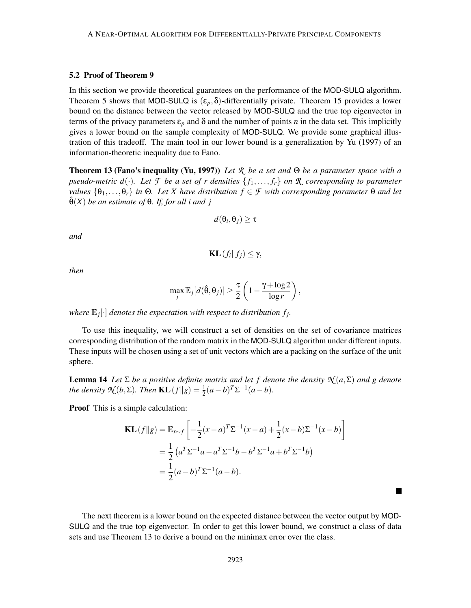#### 5.2 Proof of Theorem 9

In this section we provide theoretical guarantees on the performance of the MOD-SULQ algorithm. Theorem 5 shows that MOD-SULQ is  $(\varepsilon_p, \delta)$ -differentially private. Theorem 15 provides a lower bound on the distance between the vector released by MOD-SULQ and the true top eigenvector in terms of the privacy parameters  $\varepsilon_p$  and  $\delta$  and the number of points *n* in the data set. This implicitly gives a lower bound on the sample complexity of MOD-SULQ. We provide some graphical illustration of this tradeoff. The main tool in our lower bound is a generalization by Yu (1997) of an information-theoretic inequality due to Fano.

Theorem 13 (Fano's inequality (Yu, 1997)) *Let R be a set and* Θ *be a parameter space with a pseudo-metric d*( $\cdot$ )*. Let F be a set of r densities*  $\{f_1, \ldots, f_r\}$  *on R corresponding to parameter values*  $\{\theta_1,\ldots,\theta_r\}$  *in*  $\Theta$ *. Let X have distribution*  $f \in \mathcal{F}$  *with corresponding parameter*  $\Theta$  *and let*  $\hat{\theta}(X)$  *be an estimate of*  $\theta$ *. If, for all i and j* 

$$
d(\theta_i, \theta_j) \geq \tau
$$

*and*

$$
\mathbf{KL}(f_i||f_j) \leq \gamma,
$$

*then*

$$
\max_{j} \mathbb{E}_{j}[d(\hat{\theta}, \theta_{j})] \geq \frac{\tau}{2} \left(1 - \frac{\gamma + \log 2}{\log r}\right),
$$

where  $\mathbb{E}_j[\cdot]$  denotes the expectation with respect to distribution  $f_j$ .

To use this inequality, we will construct a set of densities on the set of covariance matrices corresponding distribution of the random matrix in the MOD-SULQ algorithm under different inputs. These inputs will be chosen using a set of unit vectors which are a packing on the surface of the unit sphere.

**Lemma 14** *Let*  $\Sigma$  *be a positive definite matrix and let f denote the density*  $\mathcal{N}(a,\Sigma)$  *and g denote the density*  $\mathcal{N}(b, \Sigma)$ *. Then*  $KL(f||g) = \frac{1}{2}(a-b)^T\Sigma^{-1}(a-b)$ *.* 

Proof This is a simple calculation:

$$
\mathbf{KL}(f||g) = \mathbb{E}_{x \sim f} \left[ -\frac{1}{2} (x - a)^T \Sigma^{-1} (x - a) + \frac{1}{2} (x - b) \Sigma^{-1} (x - b) \right]
$$
  
=  $\frac{1}{2} (a^T \Sigma^{-1} a - a^T \Sigma^{-1} b - b^T \Sigma^{-1} a + b^T \Sigma^{-1} b)$   
=  $\frac{1}{2} (a - b)^T \Sigma^{-1} (a - b).$ 

The next theorem is a lower bound on the expected distance between the vector output by MOD-SULQ and the true top eigenvector. In order to get this lower bound, we construct a class of data sets and use Theorem 13 to derive a bound on the minimax error over the class.

 $\blacksquare$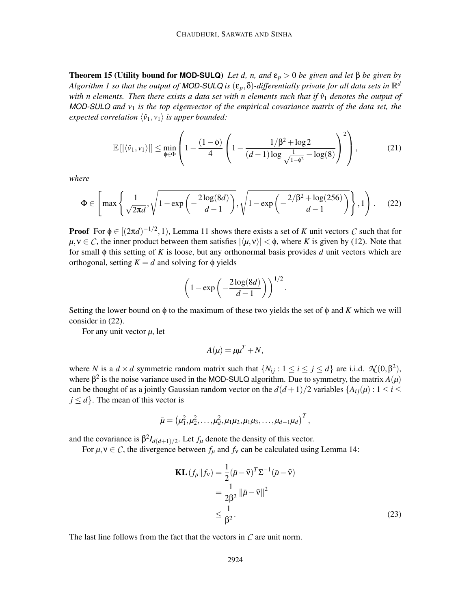**Theorem 15 (Utility bound for MOD-SULQ)** *Let d, n, and*  $\varepsilon_p > 0$  *be given and let* β *be given by* Algorithm 1 so that the output of MOD-SULQ is  $(\epsilon_p, \delta)$ -differentially private for all data sets in  $\mathbb{R}^d$ *with n elements. Then there exists a data set with n elements such that if*  $\hat{v}_1$  *denotes the output of MOD-SULQ and v*<sup>1</sup> *is the top eigenvector of the empirical covariance matrix of the data set, the expected correlation*  $\langle \hat{v}_1, v_1 \rangle$  *is upper bounded:* 

$$
\mathbb{E}\left[\left|\langle\hat{v}_1,v_1\rangle\right|\right] \le \min_{\phi \in \Phi} \left(1 - \frac{(1-\phi)}{4} \left(1 - \frac{1/\beta^2 + \log 2}{(d-1)\log \frac{1}{\sqrt{1-\phi^2}} - \log(8)}\right)^2\right),\tag{21}
$$

*where*

$$
\Phi \in \left[ \max\left\{ \frac{1}{\sqrt{2\pi d}}, \sqrt{1 - \exp\left(-\frac{2\log(8d)}{d-1}\right)}, \sqrt{1 - \exp\left(-\frac{2/\beta^2 + \log(256)}{d-1}\right)} \right\}, 1 \right). \tag{22}
$$

**Proof** For  $\phi \in [(2\pi d)^{-1/2}, 1)$ , Lemma 11 shows there exists a set of *K* unit vectors *C* such that for  $\mu, \nu \in \mathcal{C}$ , the inner product between them satisfies  $|\langle \mu, \nu \rangle| < \phi$ , where *K* is given by (12). Note that for small φ this setting of *K* is loose, but any orthonormal basis provides *d* unit vectors which are orthogonal, setting  $K = d$  and solving for  $\phi$  yields

$$
\left(1-\exp\left(-\frac{2\log(8d)}{d-1}\right)\right)^{1/2}.
$$

Setting the lower bound on  $\phi$  to the maximum of these two yields the set of  $\phi$  and *K* which we will consider in (22).

For any unit vector  $\mu$ , let

$$
A(\mu) = \mu \mu^T + N,
$$

where *N* is a  $d \times d$  symmetric random matrix such that  $\{N_{ij} : 1 \le i \le j \le d\}$  are i.i.d.  $\mathcal{N}(0, \beta^2)$ , where  $\beta^2$  is the noise variance used in the MOD-SULQ algorithm. Due to symmetry, the matrix  $A(\mu)$ can be thought of as a jointly Gaussian random vector on the  $d(d+1)/2$  variables  $\{A_{ij}(\mu): 1 \leq i \leq j \}$  $j \leq d$ . The mean of this vector is

$$
\bar{\mu} = (\mu_1^2, \mu_2^2, \dots, \mu_d^2, \mu_1\mu_2, \mu_1\mu_3, \dots, \mu_{d-1}\mu_d)^T,
$$

and the covariance is  $\beta^2 I_{d(d+1)/2}$ . Let  $f_\mu$  denote the density of this vector.

For  $\mu, \nu \in \mathcal{C}$ , the divergence between  $f_{\mu}$  and  $f_{\nu}$  can be calculated using Lemma 14:

$$
\mathbf{KL}\left(f_{\mu}||f_{\mathbf{v}}\right) = \frac{1}{2}(\bar{\mu} - \bar{\mathbf{v}})^{T} \Sigma^{-1}(\bar{\mu} - \bar{\mathbf{v}})
$$

$$
= \frac{1}{2\beta^{2}} ||\bar{\mu} - \bar{\mathbf{v}}||^{2}
$$

$$
\leq \frac{1}{\beta^{2}}.
$$
(23)

The last line follows from the fact that the vectors in *C* are unit norm.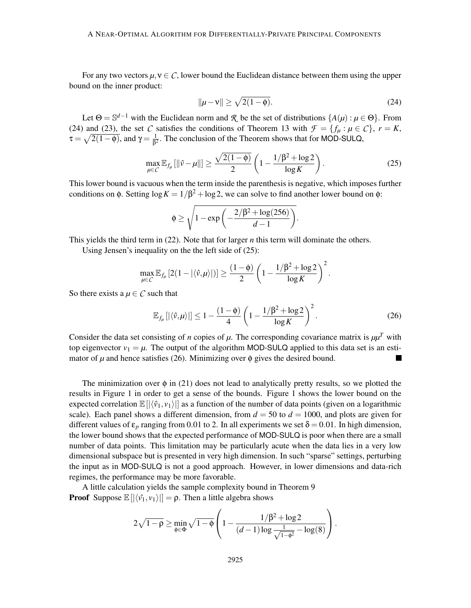For any two vectors  $\mu, \nu \in \mathcal{C}$ , lower bound the Euclidean distance between them using the upper bound on the inner product:

$$
\|\mu - \nu\| \ge \sqrt{2(1 - \phi)}.\tag{24}
$$

Let  $\Theta = \mathbb{S}^{d-1}$  with the Euclidean norm and  $\mathcal{R}$  be the set of distributions  $\{A(\mu): \mu \in \Theta\}$ . From (24) and (23), the set *C* satisfies the conditions of Theorem 13 with  $\mathcal{F} = \{f_\mu : \mu \in \mathcal{C}\}\,$ ,  $r = K$ ,  $\tau = \sqrt{2(1-\phi)}$ , and  $\gamma = \frac{1}{\beta^2}$  $\frac{1}{\beta^2}$ . The conclusion of the Theorem shows that for MOD-SULQ,

$$
\max_{\mu \in \mathcal{C}} \mathbb{E}_{f_{\mu}}[\|\hat{v} - \mu\|] \ge \frac{\sqrt{2(1-\phi)}}{2} \left(1 - \frac{1/\beta^2 + \log 2}{\log K}\right). \tag{25}
$$

This lower bound is vacuous when the term inside the parenthesis is negative, which imposes further conditions on  $\phi$ . Setting  $\log K = 1/\beta^2 + \log 2$ , we can solve to find another lower bound on  $\phi$ :

$$
\phi \ge \sqrt{1 - \exp\left(-\frac{2/\beta^2 + \log(256)}{d-1}\right)}.
$$

This yields the third term in (22). Note that for larger *n* this term will dominate the others.

Using Jensen's inequality on the the left side of (25):

$$
\max_{\mu \in \mathcal{C}} \mathbb{E}_{f_{\mu}}[2(1-|\langle \hat{v}, \mu \rangle|)] \ge \frac{(1-\phi)}{2} \left(1 - \frac{1/\beta^2 + \log 2}{\log K}\right)^2.
$$

So there exists a  $\mu \in \mathcal{C}$  such that

$$
\mathbb{E}_{f_{\mu}}\left[|\langle \hat{v}, \mu \rangle| \right] \le 1 - \frac{(1-\phi)}{4} \left(1 - \frac{1/\beta^2 + \log 2}{\log K} \right)^2. \tag{26}
$$

Consider the data set consisting of *n* copies of  $\mu$ . The corresponding covariance matrix is  $\mu \mu^T$  with top eigenvector  $v_1 = \mu$ . The output of the algorithm MOD-SULQ applied to this data set is an estimator of  $\mu$  and hence satisfies (26). Minimizing over  $\phi$  gives the desired bound. П

The minimization over  $\phi$  in (21) does not lead to analytically pretty results, so we plotted the results in Figure 1 in order to get a sense of the bounds. Figure 1 shows the lower bound on the expected correlation  $\mathbb{E}[|\langle \hat{v}_1, v_1 \rangle|]$  as a function of the number of data points (given on a logarithmic scale). Each panel shows a different dimension, from  $d = 50$  to  $d = 1000$ , and plots are given for different values of  $\varepsilon_p$  ranging from 0.01 to 2. In all experiments we set  $\delta = 0.01$ . In high dimension, the lower bound shows that the expected performance of MOD-SULQ is poor when there are a small number of data points. This limitation may be particularly acute when the data lies in a very low dimensional subspace but is presented in very high dimension. In such "sparse" settings, perturbing the input as in MOD-SULQ is not a good approach. However, in lower dimensions and data-rich regimes, the performance may be more favorable.

A little calculation yields the sample complexity bound in Theorem 9 **Proof** Suppose  $\mathbb{E}[|\langle \hat{v}_1, v_1 \rangle|] = \rho$ . Then a little algebra shows

$$
2\sqrt{1-\rho} \ge \min_{\phi \in \Phi} \sqrt{1-\phi} \left(1 - \frac{1/\beta^2 + \log 2}{(d-1)\log \frac{1}{\sqrt{1-\phi^2}} - \log(8)}\right).
$$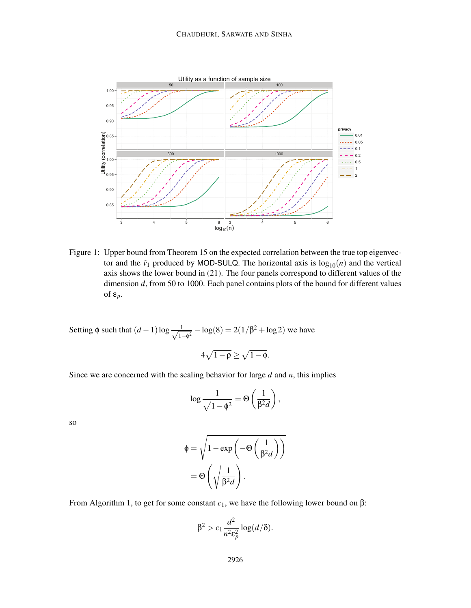

Figure 1: Upper bound from Theorem 15 on the expected correlation between the true top eigenvector and the  $\hat{v}_1$  produced by MOD-SULQ. The horizontal axis is  $\log_{10}(n)$  and the vertical axis shows the lower bound in (21). The four panels correspond to different values of the dimension *d*, from 50 to 1000. Each panel contains plots of the bound for different values of ε*p*.

Setting  $\phi$  such that  $(d-1)\log \frac{1}{\sqrt{1-\theta}}$  $\frac{1}{1-\phi^2} - \log(8) = 2(1/\beta^2 + \log 2)$  we have

$$
4\sqrt{1\!-\!\rho}\geq \sqrt{1\!-\!\varphi}.
$$

Since we are concerned with the scaling behavior for large *d* and *n*, this implies

$$
\log \frac{1}{\sqrt{1-\phi^2}} = \Theta\left(\frac{1}{\beta^2 d}\right),\,
$$

so

$$
\phi = \sqrt{1 - \exp\left(-\Theta\left(\frac{1}{\beta^2 d}\right)\right)}
$$

$$
= \Theta\left(\sqrt{\frac{1}{\beta^2 d}}\right).
$$

From Algorithm 1, to get for some constant  $c_1$ , we have the following lower bound on β:

$$
\beta^2 > c_1 \frac{d^2}{n^2 \varepsilon_p^2} \log(d/\delta).
$$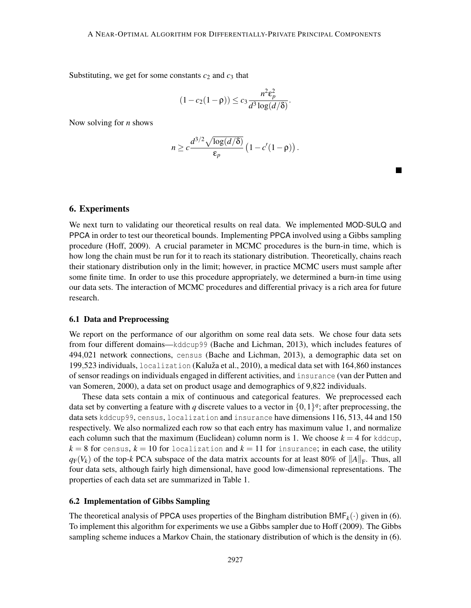Substituting, we get for some constants  $c_2$  and  $c_3$  that

$$
(1 - c_2(1 - \rho)) \le c_3 \frac{n^2 \varepsilon_p^2}{d^3 \log(d/\delta)}.
$$

Now solving for *n* shows

$$
n \geq c \frac{d^{3/2} \sqrt{\log(d/\delta)}}{\varepsilon_p} \left(1 - c'(1-\rho)\right).
$$

 $\blacksquare$ 

# 6. Experiments

We next turn to validating our theoretical results on real data. We implemented MOD-SULQ and PPCA in order to test our theoretical bounds. Implementing PPCA involved using a Gibbs sampling procedure (Hoff, 2009). A crucial parameter in MCMC procedures is the burn-in time, which is how long the chain must be run for it to reach its stationary distribution. Theoretically, chains reach their stationary distribution only in the limit; however, in practice MCMC users must sample after some finite time. In order to use this procedure appropriately, we determined a burn-in time using our data sets. The interaction of MCMC procedures and differential privacy is a rich area for future research.

#### 6.1 Data and Preprocessing

We report on the performance of our algorithm on some real data sets. We chose four data sets from four different domains—kddcup99 (Bache and Lichman, 2013), which includes features of 494,021 network connections, census (Bache and Lichman, 2013), a demographic data set on 199,523 individuals, localization (Kaluža et al., 2010), a medical data set with 164,860 instances of sensor readings on individuals engaged in different activities, and insurance (van der Putten and van Someren, 2000), a data set on product usage and demographics of 9,822 individuals.

These data sets contain a mix of continuous and categorical features. We preprocessed each data set by converting a feature with *q* discrete values to a vector in  $\{0,1\}^q$ ; after preprocessing, the data sets kddcup99, census, localization and insurance have dimensions 116, 513, 44 and 150 respectively. We also normalized each row so that each entry has maximum value 1, and normalize each column such that the maximum (Euclidean) column norm is 1. We choose  $k = 4$  for kddcup,  $k = 8$  for census,  $k = 10$  for localization and  $k = 11$  for insurance; in each case, the utility  $q_F(V_k)$  of the top-*k* PCA subspace of the data matrix accounts for at least 80% of  $||A||_F$ . Thus, all four data sets, although fairly high dimensional, have good low-dimensional representations. The properties of each data set are summarized in Table 1.

#### 6.2 Implementation of Gibbs Sampling

The theoretical analysis of PPCA uses properties of the Bingham distribution  $\text{BMF}_k(\cdot)$  given in (6). To implement this algorithm for experiments we use a Gibbs sampler due to Hoff (2009). The Gibbs sampling scheme induces a Markov Chain, the stationary distribution of which is the density in (6).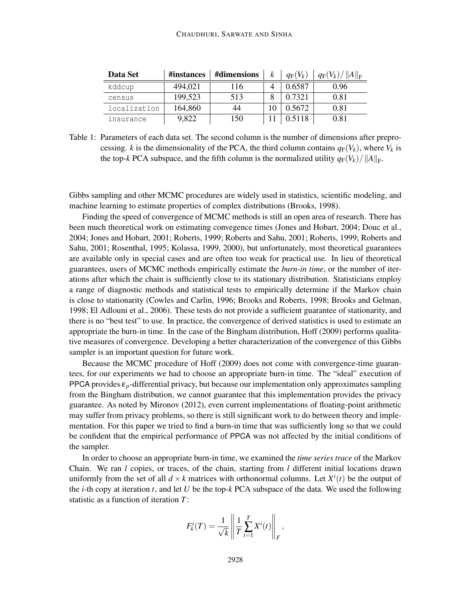| Data Set     | #instances | #dimensions | k | $q_F(V_k)$ | $q_{\rm F}(V_k)/\ A\ _{\rm F}$ |
|--------------|------------|-------------|---|------------|--------------------------------|
| kddcup       | 494,021    | 116         |   | 0.6587     | 0.96                           |
| census       | 199,523    | 513         |   | 0.7321     | 0.81                           |
| localization | 164,860    | 44          |   | 0.5672     | 0.81                           |
| insurance    | 9,822      | 150         |   | 0.5118     | 0.81                           |

Table 1: Parameters of each data set. The second column is the number of dimensions after preprocessing. *k* is the dimensionality of the PCA, the third column contains  $q_F(V_k)$ , where  $V_k$  is the top-*k* PCA subspace, and the fifth column is the normalized utility  $q_F(V_k)/||A||_F$ .

Gibbs sampling and other MCMC procedures are widely used in statistics, scientific modeling, and machine learning to estimate properties of complex distributions (Brooks, 1998).

Finding the speed of convergence of MCMC methods is still an open area of research. There has been much theoretical work on estimating convegence times (Jones and Hobart, 2004; Douc et al., 2004; Jones and Hobart, 2001; Roberts, 1999; Roberts and Sahu, 2001; Roberts, 1999; Roberts and Sahu, 2001; Rosenthal, 1995; Kolassa, 1999, 2000), but unfortunately, most theoretical guarantees are available only in special cases and are often too weak for practical use. In lieu of theoretical guarantees, users of MCMC methods empirically estimate the *burn-in time*, or the number of iterations after which the chain is sufficiently close to its stationary distribution. Statisticians employ a range of diagnostic methods and statistical tests to empirically determine if the Markov chain is close to stationarity (Cowles and Carlin, 1996; Brooks and Roberts, 1998; Brooks and Gelman, 1998; El Adlouni et al., 2006). These tests do not provide a sufficient guarantee of stationarity, and there is no "best test" to use. In practice, the convergence of derived statistics is used to estimate an appropriate the burn-in time. In the case of the Bingham distribution, Hoff (2009) performs qualitative measures of convergence. Developing a better characterization of the convergence of this Gibbs sampler is an important question for future work.

Because the MCMC procedure of Hoff (2009) does not come with convergence-time guarantees, for our experiments we had to choose an appropriate burn-in time. The "ideal" execution of PPCA provides ε*p*-differential privacy, but because our implementation only approximates sampling from the Bingham distribution, we cannot guarantee that this implementation provides the privacy guarantee. As noted by Mironov (2012), even current implementations of floating-point arithmetic may suffer from privacy problems, so there is still significant work to do between theory and implementation. For this paper we tried to find a burn-in time that was sufficiently long so that we could be confident that the empirical performance of PPCA was not affected by the initial conditions of the sampler.

In order to choose an appropriate burn-in time, we examined the *time series trace* of the Markov Chain. We ran *l* copies, or traces, of the chain, starting from *l* different initial locations drawn uniformly from the set of all  $d \times k$  matrices with orthonormal columns. Let  $X^i(t)$  be the output of the *i*-th copy at iteration *t*, and let *U* be the top-*k* PCA subspace of the data. We used the following statistic as a function of iteration *T*:

$$
F_k^i(T) = \frac{1}{\sqrt{k}} \left\| \frac{1}{T} \sum_{t=1}^T X^i(t) \right\|_F,
$$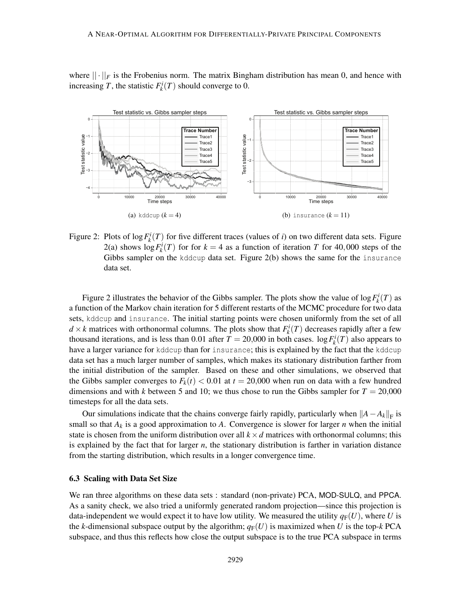where  $|| \cdot ||_F$  is the Frobenius norm. The matrix Bingham distribution has mean 0, and hence with increasing *T*, the statistic  $F_k^i(T)$  should converge to 0.



Figure 2: Plots of  $\log F_k^i(T)$  for five different traces (values of *i*) on two different data sets. Figure 2(a) shows  $\log F_k^i(T)$  for for  $k = 4$  as a function of iteration *T* for 40,000 steps of the Gibbs sampler on the kddcup data set. Figure 2(b) shows the same for the insurance data set.

Figure 2 illustrates the behavior of the Gibbs sampler. The plots show the value of  $\log F_k^i(T)$  as a function of the Markov chain iteration for 5 different restarts of the MCMC procedure for two data sets, kddcup and insurance. The initial starting points were chosen uniformly from the set of all  $d \times k$  matrices with orthonormal columns. The plots show that  $F_k^i(T)$  decreases rapidly after a few thousand iterations, and is less than 0.01 after  $T = 20,000$  in both cases.  $\log F_k^i(T)$  also appears to have a larger variance for kddcup than for insurance; this is explained by the fact that the kddcup data set has a much larger number of samples, which makes its stationary distribution farther from the initial distribution of the sampler. Based on these and other simulations, we observed that the Gibbs sampler converges to  $F_k(t) < 0.01$  at  $t = 20,000$  when run on data with a few hundred dimensions and with *k* between 5 and 10; we thus chose to run the Gibbs sampler for  $T = 20,000$ timesteps for all the data sets.

Our simulations indicate that the chains converge fairly rapidly, particularly when  $||A - A_k||_F$  is small so that  $A_k$  is a good approximation to A. Convergence is slower for larger *n* when the initial state is chosen from the uniform distribution over all  $k \times d$  matrices with orthonormal columns; this is explained by the fact that for larger *n*, the stationary distribution is farther in variation distance from the starting distribution, which results in a longer convergence time.

# 6.3 Scaling with Data Set Size

We ran three algorithms on these data sets : standard (non-private) PCA, MOD-SULQ, and PPCA. As a sanity check, we also tried a uniformly generated random projection—since this projection is data-independent we would expect it to have low utility. We measured the utility  $q_F(U)$ , where *U* is the *k*-dimensional subspace output by the algorithm;  $q_F(U)$  is maximized when U is the top-*k* PCA subspace, and thus this reflects how close the output subspace is to the true PCA subspace in terms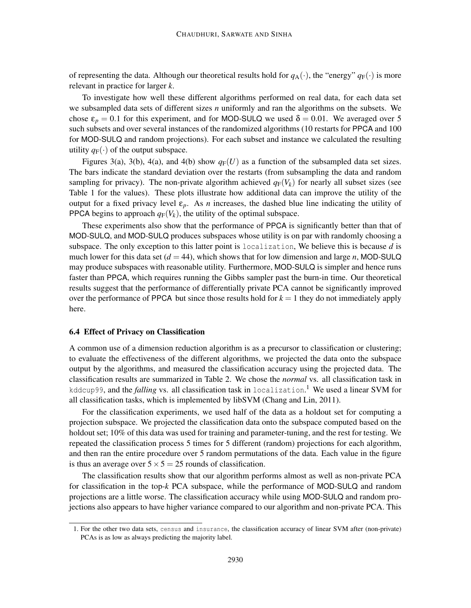of representing the data. Although our theoretical results hold for  $q_A(\cdot)$ , the "energy"  $q_F(\cdot)$  is more relevant in practice for larger *k*.

To investigate how well these different algorithms performed on real data, for each data set we subsampled data sets of different sizes *n* uniformly and ran the algorithms on the subsets. We chose  $\varepsilon_p = 0.1$  for this experiment, and for MOD-SULQ we used  $\delta = 0.01$ . We averaged over 5 such subsets and over several instances of the randomized algorithms (10 restarts for PPCA and 100 for MOD-SULQ and random projections). For each subset and instance we calculated the resulting utility  $q_F(\cdot)$  of the output subspace.

Figures 3(a), 3(b), 4(a), and 4(b) show  $q_F(U)$  as a function of the subsampled data set sizes. The bars indicate the standard deviation over the restarts (from subsampling the data and random sampling for privacy). The non-private algorithm achieved  $q_F(V_k)$  for nearly all subset sizes (see Table 1 for the values). These plots illustrate how additional data can improve the utility of the output for a fixed privacy level  $\varepsilon_p$ . As *n* increases, the dashed blue line indicating the utility of PPCA begins to approach  $q_F(V_k)$ , the utility of the optimal subspace.

These experiments also show that the performance of PPCA is significantly better than that of MOD-SULQ, and MOD-SULQ produces subspaces whose utility is on par with randomly choosing a subspace. The only exception to this latter point is localization, We believe this is because *d* is much lower for this data set  $(d = 44)$ , which shows that for low dimension and large *n*, MOD-SULQ may produce subspaces with reasonable utility. Furthermore, MOD-SULQ is simpler and hence runs faster than PPCA, which requires running the Gibbs sampler past the burn-in time. Our theoretical results suggest that the performance of differentially private PCA cannot be significantly improved over the performance of PPCA but since those results hold for  $k = 1$  they do not immediately apply here.

#### 6.4 Effect of Privacy on Classification

A common use of a dimension reduction algorithm is as a precursor to classification or clustering; to evaluate the effectiveness of the different algorithms, we projected the data onto the subspace output by the algorithms, and measured the classification accuracy using the projected data. The classification results are summarized in Table 2. We chose the *normal* vs. all classification task in kddcup99, and the *falling* vs. all classification task in localization. <sup>1</sup> We used a linear SVM for all classification tasks, which is implemented by libSVM (Chang and Lin, 2011).

For the classification experiments, we used half of the data as a holdout set for computing a projection subspace. We projected the classification data onto the subspace computed based on the holdout set; 10% of this data was used for training and parameter-tuning, and the rest for testing. We repeated the classification process 5 times for 5 different (random) projections for each algorithm, and then ran the entire procedure over 5 random permutations of the data. Each value in the figure is thus an average over  $5 \times 5 = 25$  rounds of classification.

The classification results show that our algorithm performs almost as well as non-private PCA for classification in the top-*k* PCA subspace, while the performance of MOD-SULQ and random projections are a little worse. The classification accuracy while using MOD-SULQ and random projections also appears to have higher variance compared to our algorithm and non-private PCA. This

<sup>1.</sup> For the other two data sets, census and insurance, the classification accuracy of linear SVM after (non-private) PCAs is as low as always predicting the majority label.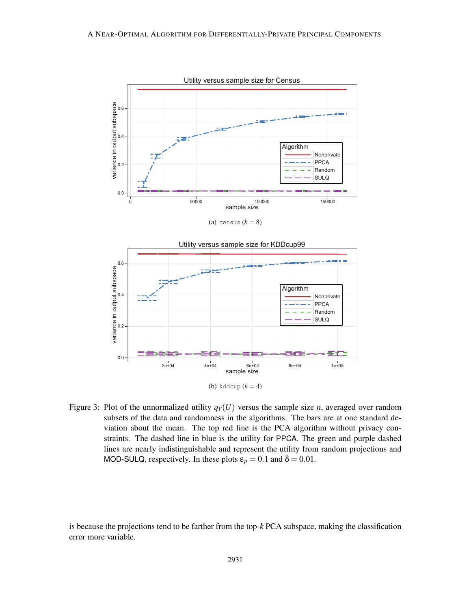

(a) census  $(k = 8)$ 



Figure 3: Plot of the unnormalized utility  $q_F(U)$  versus the sample size *n*, averaged over random subsets of the data and randomness in the algorithms. The bars are at one standard deviation about the mean. The top red line is the PCA algorithm without privacy constraints. The dashed line in blue is the utility for PPCA. The green and purple dashed lines are nearly indistinguishable and represent the utility from random projections and MOD-SULQ, respectively. In these plots  $\varepsilon_p = 0.1$  and  $\delta = 0.01$ .

is because the projections tend to be farther from the top-*k* PCA subspace, making the classification error more variable.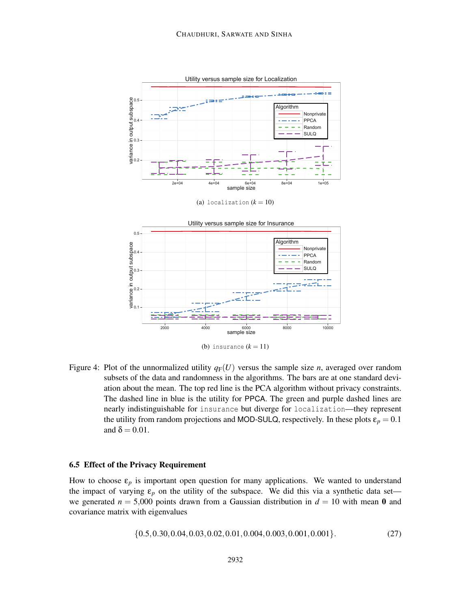

(a) localization  $(k = 10)$ 



Figure 4: Plot of the unnormalized utility  $q_F(U)$  versus the sample size *n*, averaged over random subsets of the data and randomness in the algorithms. The bars are at one standard deviation about the mean. The top red line is the PCA algorithm without privacy constraints. The dashed line in blue is the utility for PPCA. The green and purple dashed lines are nearly indistinguishable for insurance but diverge for localization—they represent the utility from random projections and MOD-SULQ, respectively. In these plots  $\varepsilon_p = 0.1$ and  $\delta = 0.01$ .

#### 6.5 Effect of the Privacy Requirement

How to choose  $\varepsilon_p$  is important open question for many applications. We wanted to understand the impact of varying  $\varepsilon_p$  on the utility of the subspace. We did this via a synthetic data set we generated  $n = 5,000$  points drawn from a Gaussian distribution in  $d = 10$  with mean 0 and covariance matrix with eigenvalues

$$
\{0.5, 0.30, 0.04, 0.03, 0.02, 0.01, 0.004, 0.003, 0.001, 0.001\}.
$$
 (27)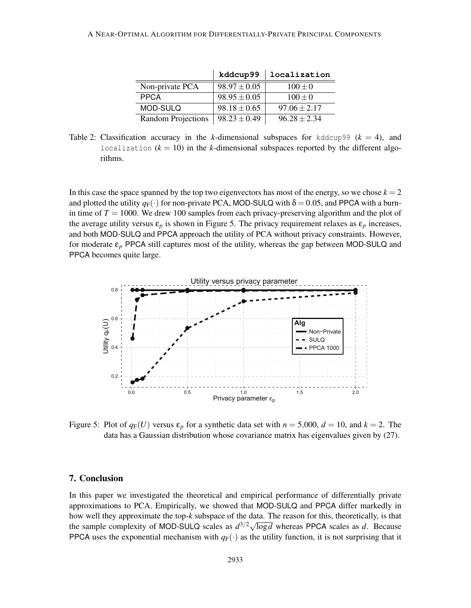|                    | kddcup99         | localization     |
|--------------------|------------------|------------------|
| Non-private PCA    | $98.97 \pm 0.05$ | $100 \pm 0$      |
| <b>PPCA</b>        | $98.95 \pm 0.05$ | $100 + 0$        |
| MOD-SULO           | $98.18 \pm 0.65$ | $97.06 + 2.17$   |
| Random Projections | $98.23 \pm 0.49$ | $96.28 \pm 2.34$ |

Table 2: Classification accuracy in the *k*-dimensional subspaces for kddcup99 ( $k = 4$ ), and localization  $(k = 10)$  in the *k*-dimensional subspaces reported by the different algorithms.

In this case the space spanned by the top two eigenvectors has most of the energy, so we chose  $k = 2$ and plotted the utility  $q_F(\cdot)$  for non-private PCA, MOD-SULQ with  $\delta = 0.05$ , and PPCA with a burnin time of  $T = 1000$ . We drew 100 samples from each privacy-preserving algorithm and the plot of the average utility versus  $\varepsilon_p$  is shown in Figure 5. The privacy requirement relaxes as  $\varepsilon_p$  increases, and both MOD-SULQ and PPCA approach the utility of PCA without privacy constraints. However, for moderate ε*<sup>p</sup>* PPCA still captures most of the utility, whereas the gap between MOD-SULQ and PPCA becomes quite large.



Figure 5: Plot of  $q_F(U)$  versus  $\varepsilon_p$  for a synthetic data set with  $n = 5,000$ ,  $d = 10$ , and  $k = 2$ . The data has a Gaussian distribution whose covariance matrix has eigenvalues given by (27).

# 7. Conclusion

In this paper we investigated the theoretical and empirical performance of differentially private approximations to PCA. Empirically, we showed that MOD-SULQ and PPCA differ markedly in how well they approximate the top-*k* subspace of the data. The reason for this, theoretically, is that the sample complexity of MOD-SULQ scales as  $d^{3/2}\sqrt{\log d}$  whereas PPCA scales as *d*. Because PPCA uses the exponential mechanism with  $q_F(\cdot)$  as the utility function, it is not surprising that it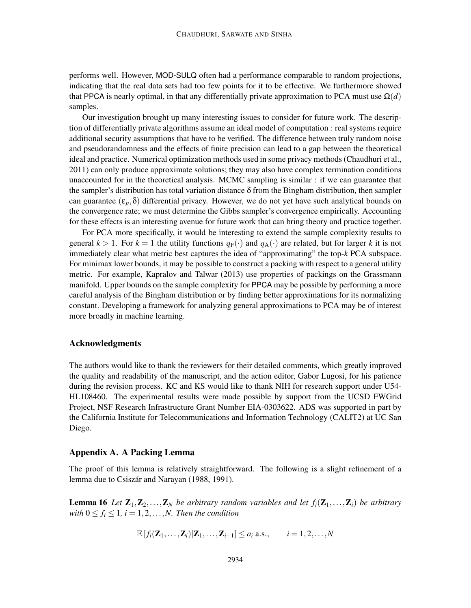performs well. However, MOD-SULQ often had a performance comparable to random projections, indicating that the real data sets had too few points for it to be effective. We furthermore showed that PPCA is nearly optimal, in that any differentially private approximation to PCA must use  $\Omega(d)$ samples.

Our investigation brought up many interesting issues to consider for future work. The description of differentially private algorithms assume an ideal model of computation : real systems require additional security assumptions that have to be verified. The difference between truly random noise and pseudorandomness and the effects of finite precision can lead to a gap between the theoretical ideal and practice. Numerical optimization methods used in some privacy methods (Chaudhuri et al., 2011) can only produce approximate solutions; they may also have complex termination conditions unaccounted for in the theoretical analysis. MCMC sampling is similar : if we can guarantee that the sampler's distribution has total variation distance  $\delta$  from the Bingham distribution, then sampler can guarantee  $(\epsilon_p, \delta)$  differential privacy. However, we do not yet have such analytical bounds on the convergence rate; we must determine the Gibbs sampler's convergence empirically. Accounting for these effects is an interesting avenue for future work that can bring theory and practice together.

For PCA more specifically, it would be interesting to extend the sample complexity results to general  $k > 1$ . For  $k = 1$  the utility functions  $q_F(\cdot)$  and  $q_A(\cdot)$  are related, but for larger k it is not immediately clear what metric best captures the idea of "approximating" the top-*k* PCA subspace. For minimax lower bounds, it may be possible to construct a packing with respect to a general utility metric. For example, Kapralov and Talwar (2013) use properties of packings on the Grassmann manifold. Upper bounds on the sample complexity for PPCA may be possible by performing a more careful analysis of the Bingham distribution or by finding better approximations for its normalizing constant. Developing a framework for analyzing general approximations to PCA may be of interest more broadly in machine learning.

# Acknowledgments

The authors would like to thank the reviewers for their detailed comments, which greatly improved the quality and readability of the manuscript, and the action editor, Gabor Lugosi, for his patience during the revision process. KC and KS would like to thank NIH for research support under U54- HL108460. The experimental results were made possible by support from the UCSD FWGrid Project, NSF Research Infrastructure Grant Number EIA-0303622. ADS was supported in part by the California Institute for Telecommunications and Information Technology (CALIT2) at UC San Diego.

### Appendix A. A Packing Lemma

The proof of this lemma is relatively straightforward. The following is a slight refinement of a lemma due to Csiszár and Narayan (1988, 1991).

**Lemma 16** Let  $\mathbf{Z}_1, \mathbf{Z}_2, \ldots, \mathbf{Z}_N$  be arbitrary random variables and let  $f_i(\mathbf{Z}_1, \ldots, \mathbf{Z}_i)$  be arbitrary *with*  $0 \le f_i \le 1$ ,  $i = 1, 2, \ldots, N$ . Then the condition

$$
\mathbb{E}\left[f_i(\mathbf{Z}_1,\ldots,\mathbf{Z}_i)|\mathbf{Z}_1,\ldots,\mathbf{Z}_{i-1}\right]\leq a_i \text{ a.s.}, \qquad i=1,2,\ldots,N
$$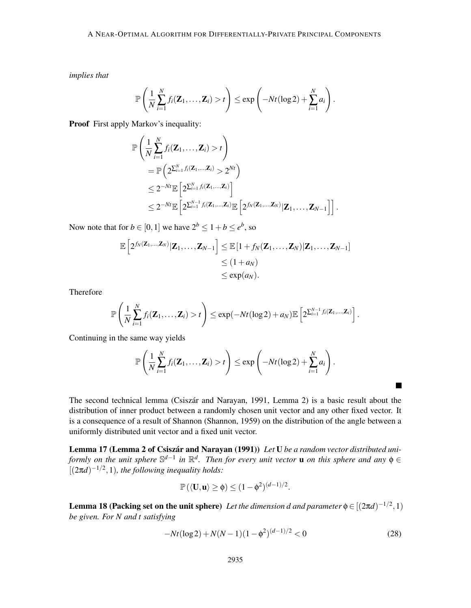*implies that*

$$
\mathbb{P}\left(\frac{1}{N}\sum_{i=1}^N f_i(\mathbf{Z}_1,\ldots,\mathbf{Z}_i) > t\right) \leq \exp\left(-Nt(\log 2) + \sum_{i=1}^N a_i\right).
$$

Proof First apply Markov's inequality:

$$
\mathbb{P}\left(\frac{1}{N}\sum_{i=1}^{N}f_i(\mathbf{Z}_1,\ldots,\mathbf{Z}_i) > t\right)
$$
\n
$$
= \mathbb{P}\left(2^{\sum_{i=1}^{N}f_i(\mathbf{Z}_1,\ldots,\mathbf{Z}_i)} > 2^{Nt}\right)
$$
\n
$$
\leq 2^{-Nt}\mathbb{E}\left[2^{\sum_{i=1}^{N}f_i(\mathbf{Z}_1,\ldots,\mathbf{Z}_i)}\right]
$$
\n
$$
\leq 2^{-Nt}\mathbb{E}\left[2^{\sum_{i=1}^{N-1}f_i(\mathbf{Z}_1,\ldots,\mathbf{Z}_i)}\mathbb{E}\left[2^{f_N(\mathbf{Z}_1,\ldots,\mathbf{Z}_N)}|\mathbf{Z}_1,\ldots,\mathbf{Z}_{N-1}\right]\right].
$$

Now note that for  $b \in [0,1]$  we have  $2^b \le 1 + b \le e^b$ , so

$$
\mathbb{E}\left[2^{f_N(\mathbf{Z}_1,\ldots,\mathbf{Z}_N)}|\mathbf{Z}_1,\ldots,\mathbf{Z}_{N-1}\right] \leq \mathbb{E}\left[1+f_N(\mathbf{Z}_1,\ldots,\mathbf{Z}_N)|\mathbf{Z}_1,\ldots,\mathbf{Z}_{N-1}\right] \leq (1+a_N) \leq \exp(a_N).
$$

Therefore

$$
\mathbb{P}\left(\frac{1}{N}\sum_{i=1}^N f_i(\mathbf{Z}_1,\ldots,\mathbf{Z}_i) > t\right) \leq \exp(-Nt(\log 2) + a_N)\mathbb{E}\left[2^{\sum_{i=1}^{N-1} f_i(\mathbf{Z}_1,\ldots,\mathbf{Z}_i)}\right].
$$

Continuing in the same way yields

$$
\mathbb{P}\left(\frac{1}{N}\sum_{i=1}^N f_i(\mathbf{Z}_1,\ldots,\mathbf{Z}_i)>t\right)\leq \exp\left(-Nt(\log 2)+\sum_{i=1}^N a_i\right).
$$

The second technical lemma (Csiszár and Narayan, 1991, Lemma 2) is a basic result about the distribution of inner product between a randomly chosen unit vector and any other fixed vector. It is a consequence of a result of Shannon (Shannon, 1959) on the distribution of the angle between a uniformly distributed unit vector and a fixed unit vector.

Lemma 17 (Lemma 2 of Csiszár and Narayan (1991)) Let U be a random vector distributed uni*formly on the unit sphere* S<sup>*d*−1</sup> *in*  $\mathbb{R}^d$ . *Then for every unit vector* **u** *on this sphere and any*  $\phi$  ∈  $[(2\pi d)^{-1/2}, 1)$ , the following inequality holds:

$$
\mathbb{P}(\langle \mathbf{U}, \mathbf{u} \rangle \ge \phi) \le (1 - \phi^2)^{(d-1)/2}.
$$

**Lemma 18 (Packing set on the unit sphere)** Let the dimension d and parameter  $\phi \in [(2\pi d)^{-1/2}, 1)$ *be given. For N and t satisfying*

$$
-Nt(\log 2) + N(N-1)(1 - \phi^2)^{(d-1)/2} < 0 \tag{28}
$$

 $\blacksquare$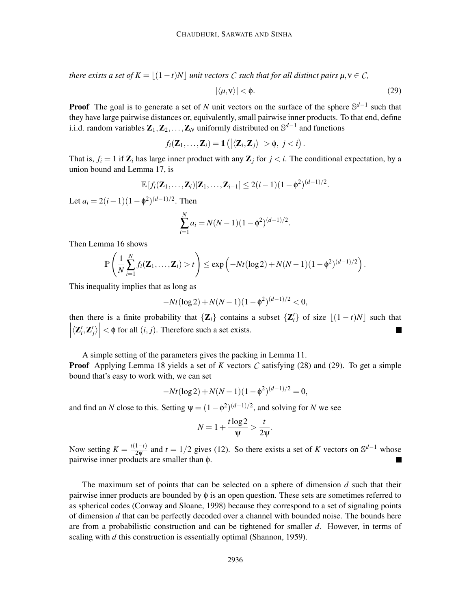*there exists a set of*  $K = |(1-t)N|$  *unit vectors*  $C$  *such that for all distinct pairs*  $\mu, \nu \in C$ *,* 

$$
|\langle \mu, \mathbf{v} \rangle| < \phi. \tag{29}
$$

**Proof** The goal is to generate a set of *N* unit vectors on the surface of the sphere  $\mathbb{S}^{d-1}$  such that they have large pairwise distances or, equivalently, small pairwise inner products. To that end, define i.i.d. random variables  $\mathbf{Z}_1, \mathbf{Z}_2, \dots, \mathbf{Z}_N$  uniformly distributed on  $\mathbb{S}^{d-1}$  and functions

$$
f_i(\mathbf{Z}_1,\ldots,\mathbf{Z}_i)=\mathbf{1}\left(\left|\langle \mathbf{Z}_i,\mathbf{Z}_j\rangle\right|>\phi,\ j
$$

That is,  $f_i = 1$  if  $\mathbb{Z}_i$  has large inner product with any  $\mathbb{Z}_i$  for  $j < i$ . The conditional expectation, by a union bound and Lemma 17, is

$$
\mathbb{E}[f_i(\mathbf{Z}_1,\ldots,\mathbf{Z}_i)|\mathbf{Z}_1,\ldots,\mathbf{Z}_{i-1}]\leq 2(i-1)(1-\phi^2)^{(d-1)/2}.
$$

Let  $a_i = 2(i-1)(1-\phi^2)^{(d-1)/2}$ . Then

$$
\sum_{i=1}^{N} a_i = N(N-1)(1-\phi^2)^{(d-1)/2}.
$$

Then Lemma 16 shows

$$
\mathbb{P}\left(\frac{1}{N}\sum_{i=1}^N f_i(\mathbf{Z}_1,\ldots,\mathbf{Z}_i)>t\right)\leq \exp\left(-Nt(\log 2)+N(N-1)(1-\phi^2)^{(d-1)/2}\right).
$$

This inequality implies that as long as

$$
-Nt(\log 2) + N(N-1)(1-\phi^2)^{(d-1)/2} < 0,
$$

then there is a finite probability that  $\{Z_i\}$  contains a subset  $\{Z'_i\}$  of size  $\lfloor (1-t)N \rfloor$  such that  $\left| \langle \mathbf{Z}'_i, \mathbf{Z}'_j \rangle \right| < \phi$  for all  $(i, j)$ . Therefore such a set exists.

A simple setting of the parameters gives the packing in Lemma 11.

**Proof** Applying Lemma 18 yields a set of *K* vectors *C* satisfying (28) and (29). To get a simple bound that's easy to work with, we can set

$$
-Nt(\log 2) + N(N-1)(1-\phi^2)^{(d-1)/2} = 0,
$$

and find an *N* close to this. Setting  $\psi = (1 - \phi^2)^{(d-1)/2}$ , and solving for *N* we see

$$
N=1+\frac{t\log 2}{\psi}>\frac{t}{2\psi}.
$$

Now setting  $K = \frac{t(1-t)}{2\Psi}$  and  $t = 1/2$  gives (12). So there exists a set of *K* vectors on S<sup>*d*−1</sup> whose pairwise inner products are smaller than φ.

The maximum set of points that can be selected on a sphere of dimension *d* such that their pairwise inner products are bounded by  $\phi$  is an open question. These sets are sometimes referred to as spherical codes (Conway and Sloane, 1998) because they correspond to a set of signaling points of dimension *d* that can be perfectly decoded over a channel with bounded noise. The bounds here are from a probabilistic construction and can be tightened for smaller *d*. However, in terms of scaling with *d* this construction is essentially optimal (Shannon, 1959).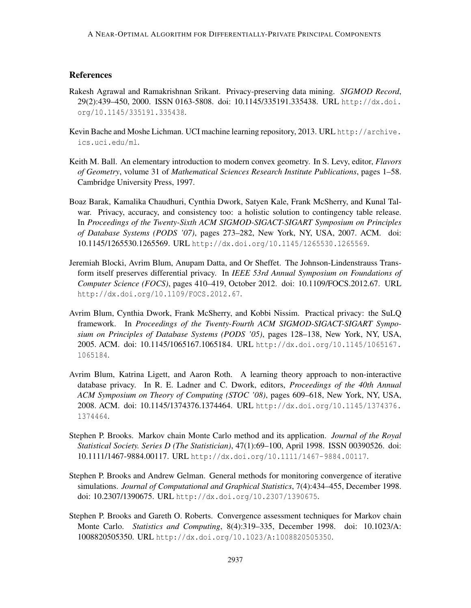# **References**

- Rakesh Agrawal and Ramakrishnan Srikant. Privacy-preserving data mining. *SIGMOD Record*, 29(2):439–450, 2000. ISSN 0163-5808. doi: 10.1145/335191.335438. URL http://dx.doi. org/10.1145/335191.335438.
- Kevin Bache and Moshe Lichman. UCI machine learning repository, 2013. URL http://archive. ics.uci.edu/ml.
- Keith M. Ball. An elementary introduction to modern convex geometry. In S. Levy, editor, *Flavors of Geometry*, volume 31 of *Mathematical Sciences Research Institute Publications*, pages 1–58. Cambridge University Press, 1997.
- Boaz Barak, Kamalika Chaudhuri, Cynthia Dwork, Satyen Kale, Frank McSherry, and Kunal Talwar. Privacy, accuracy, and consistency too: a holistic solution to contingency table release. In *Proceedings of the Twenty-Sixth ACM SIGMOD-SIGACT-SIGART Symposium on Principles of Database Systems (PODS '07)*, pages 273–282, New York, NY, USA, 2007. ACM. doi: 10.1145/1265530.1265569. URL http://dx.doi.org/10.1145/1265530.1265569.
- Jeremiah Blocki, Avrim Blum, Anupam Datta, and Or Sheffet. The Johnson-Lindenstrauss Transform itself preserves differential privacy. In *IEEE 53rd Annual Symposium on Foundations of Computer Science (FOCS)*, pages 410–419, October 2012. doi: 10.1109/FOCS.2012.67. URL http://dx.doi.org/10.1109/FOCS.2012.67.
- Avrim Blum, Cynthia Dwork, Frank McSherry, and Kobbi Nissim. Practical privacy: the SuLQ framework. In *Proceedings of the Twenty-Fourth ACM SIGMOD-SIGACT-SIGART Symposium on Principles of Database Systems (PODS '05)*, pages 128–138, New York, NY, USA, 2005. ACM. doi: 10.1145/1065167.1065184. URL http://dx.doi.org/10.1145/1065167. 1065184.
- Avrim Blum, Katrina Ligett, and Aaron Roth. A learning theory approach to non-interactive database privacy. In R. E. Ladner and C. Dwork, editors, *Proceedings of the 40th Annual ACM Symposium on Theory of Computing (STOC '08)*, pages 609–618, New York, NY, USA, 2008. ACM. doi: 10.1145/1374376.1374464. URL http://dx.doi.org/10.1145/1374376. 1374464.
- Stephen P. Brooks. Markov chain Monte Carlo method and its application. *Journal of the Royal Statistical Society. Series D (The Statistician)*, 47(1):69–100, April 1998. ISSN 00390526. doi: 10.1111/1467-9884.00117. URL http://dx.doi.org/10.1111/1467-9884.00117.
- Stephen P. Brooks and Andrew Gelman. General methods for monitoring convergence of iterative simulations. *Journal of Computational and Graphical Statistics*, 7(4):434–455, December 1998. doi: 10.2307/1390675. URL http://dx.doi.org/10.2307/1390675.
- Stephen P. Brooks and Gareth O. Roberts. Convergence assessment techniques for Markov chain Monte Carlo. *Statistics and Computing*, 8(4):319–335, December 1998. doi: 10.1023/A: 1008820505350. URL http://dx.doi.org/10.1023/A:1008820505350.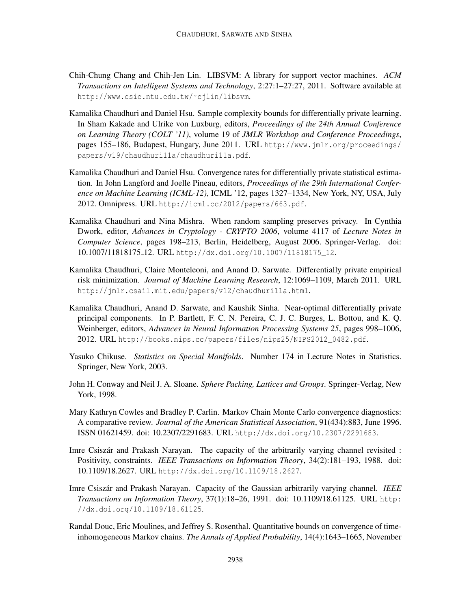- Chih-Chung Chang and Chih-Jen Lin. LIBSVM: A library for support vector machines. *ACM Transactions on Intelligent Systems and Technology*, 2:27:1–27:27, 2011. Software available at http://www.csie.ntu.edu.tw/˜cjlin/libsvm.
- Kamalika Chaudhuri and Daniel Hsu. Sample complexity bounds for differentially private learning. In Sham Kakade and Ulrike von Luxburg, editors, *Proceedings of the 24th Annual Conference on Learning Theory (COLT '11)*, volume 19 of *JMLR Workshop and Conference Proceedings*, pages 155–186, Budapest, Hungary, June 2011. URL http://www.jmlr.org/proceedings/ papers/v19/chaudhuri11a/chaudhuri11a.pdf.
- Kamalika Chaudhuri and Daniel Hsu. Convergence rates for differentially private statistical estimation. In John Langford and Joelle Pineau, editors, *Proceedings of the 29th International Conference on Machine Learning (ICML-12)*, ICML '12, pages 1327–1334, New York, NY, USA, July 2012. Omnipress. URL http://icml.cc/2012/papers/663.pdf.
- Kamalika Chaudhuri and Nina Mishra. When random sampling preserves privacy. In Cynthia Dwork, editor, *Advances in Cryptology - CRYPTO 2006*, volume 4117 of *Lecture Notes in Computer Science*, pages 198–213, Berlin, Heidelberg, August 2006. Springer-Verlag. doi: 10.1007/11818175 12. URL http://dx.doi.org/10.1007/11818175\_12.
- Kamalika Chaudhuri, Claire Monteleoni, and Anand D. Sarwate. Differentially private empirical risk minimization. *Journal of Machine Learning Research*, 12:1069–1109, March 2011. URL http://jmlr.csail.mit.edu/papers/v12/chaudhuri11a.html.
- Kamalika Chaudhuri, Anand D. Sarwate, and Kaushik Sinha. Near-optimal differentially private principal components. In P. Bartlett, F. C. N. Pereira, C. J. C. Burges, L. Bottou, and K. Q. Weinberger, editors, *Advances in Neural Information Processing Systems 25*, pages 998–1006, 2012. URL http://books.nips.cc/papers/files/nips25/NIPS2012\_0482.pdf.
- Yasuko Chikuse. *Statistics on Special Manifolds*. Number 174 in Lecture Notes in Statistics. Springer, New York, 2003.
- John H. Conway and Neil J. A. Sloane. *Sphere Packing, Lattices and Groups*. Springer-Verlag, New York, 1998.
- Mary Kathryn Cowles and Bradley P. Carlin. Markov Chain Monte Carlo convergence diagnostics: A comparative review. *Journal of the American Statistical Association*, 91(434):883, June 1996. ISSN 01621459. doi: 10.2307/2291683. URL http://dx.doi.org/10.2307/2291683.
- Imre Csiszár and Prakash Narayan. The capacity of the arbitrarily varying channel revisited : Positivity, constraints. *IEEE Transactions on Information Theory*, 34(2):181–193, 1988. doi: 10.1109/18.2627. URL http://dx.doi.org/10.1109/18.2627.
- Imre Csiszár and Prakash Narayan. Capacity of the Gaussian arbitrarily varying channel. *IEEE Transactions on Information Theory*, 37(1):18–26, 1991. doi: 10.1109/18.61125. URL http: //dx.doi.org/10.1109/18.61125.
- Randal Douc, Eric Moulines, and Jeffrey S. Rosenthal. Quantitative bounds on convergence of timeinhomogeneous Markov chains. *The Annals of Applied Probability*, 14(4):1643–1665, November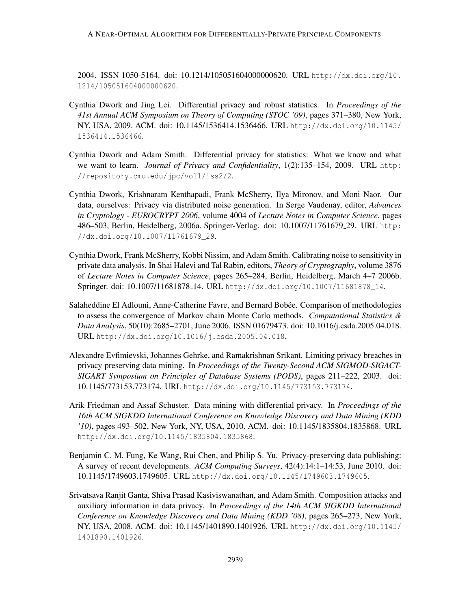2004. ISSN 1050-5164. doi: 10.1214/105051604000000620. URL http://dx.doi.org/10. 1214/105051604000000620.

- Cynthia Dwork and Jing Lei. Differential privacy and robust statistics. In *Proceedings of the 41st Annual ACM Symposium on Theory of Computing (STOC '09)*, pages 371–380, New York, NY, USA, 2009. ACM. doi: 10.1145/1536414.1536466. URL http://dx.doi.org/10.1145/ 1536414.1536466.
- Cynthia Dwork and Adam Smith. Differential privacy for statistics: What we know and what we want to learn. *Journal of Privacy and Confidentiality*, 1(2):135–154, 2009. URL http: //repository.cmu.edu/jpc/vol1/iss2/2.
- Cynthia Dwork, Krishnaram Kenthapadi, Frank McSherry, Ilya Mironov, and Moni Naor. Our data, ourselves: Privacy via distributed noise generation. In Serge Vaudenay, editor, *Advances in Cryptology - EUROCRYPT 2006*, volume 4004 of *Lecture Notes in Computer Science*, pages 486–503, Berlin, Heidelberg, 2006a. Springer-Verlag. doi: 10.1007/11761679 29. URL http: //dx.doi.org/10.1007/11761679\_29.
- Cynthia Dwork, Frank McSherry, Kobbi Nissim, and Adam Smith. Calibrating noise to sensitivity in private data analysis. In Shai Halevi and Tal Rabin, editors, *Theory of Cryptography*, volume 3876 of *Lecture Notes in Computer Science*, pages 265–284, Berlin, Heidelberg, March 4–7 2006b. Springer. doi: 10.1007/11681878 14. URL http://dx.doi.org/10.1007/11681878\_14.
- Salaheddine El Adlouni, Anne-Catherine Favre, and Bernard Bobée. Comparison of methodologies to assess the convergence of Markov chain Monte Carlo methods. *Computational Statistics & Data Analysis*, 50(10):2685–2701, June 2006. ISSN 01679473. doi: 10.1016/j.csda.2005.04.018. URL http://dx.doi.org/10.1016/j.csda.2005.04.018.
- Alexandre Evfimievski, Johannes Gehrke, and Ramakrishnan Srikant. Limiting privacy breaches in privacy preserving data mining. In *Proceedings of the Twenty-Second ACM SIGMOD-SIGACT-SIGART Symposium on Principles of Database Systems (PODS)*, pages 211–222, 2003. doi: 10.1145/773153.773174. URL http://dx.doi.org/10.1145/773153.773174.
- Arik Friedman and Assaf Schuster. Data mining with differential privacy. In *Proceedings of the 16th ACM SIGKDD International Conference on Knowledge Discovery and Data Mining (KDD '10)*, pages 493–502, New York, NY, USA, 2010. ACM. doi: 10.1145/1835804.1835868. URL http://dx.doi.org/10.1145/1835804.1835868.
- Benjamin C. M. Fung, Ke Wang, Rui Chen, and Philip S. Yu. Privacy-preserving data publishing: A survey of recent developments. *ACM Computing Surveys*, 42(4):14:1–14:53, June 2010. doi: 10.1145/1749603.1749605. URL http://dx.doi.org/10.1145/1749603.1749605.
- Srivatsava Ranjit Ganta, Shiva Prasad Kasiviswanathan, and Adam Smith. Composition attacks and auxiliary information in data privacy. In *Proceedings of the 14th ACM SIGKDD International Conference on Knowledge Discovery and Data Mining (KDD '08)*, pages 265–273, New York, NY, USA, 2008. ACM. doi: 10.1145/1401890.1401926. URL http://dx.doi.org/10.1145/ 1401890.1401926.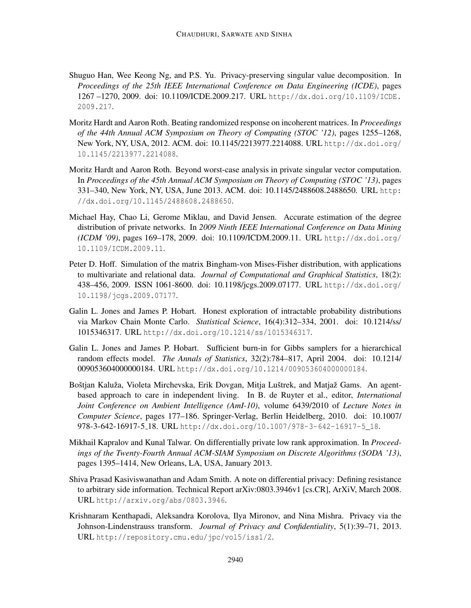- Shuguo Han, Wee Keong Ng, and P.S. Yu. Privacy-preserving singular value decomposition. In *Proceedings of the 25th IEEE International Conference on Data Engineering (ICDE)*, pages 1267 –1270, 2009. doi: 10.1109/ICDE.2009.217. URL http://dx.doi.org/10.1109/ICDE. 2009.217.
- Moritz Hardt and Aaron Roth. Beating randomized response on incoherent matrices. In *Proceedings of the 44th Annual ACM Symposium on Theory of Computing (STOC '12)*, pages 1255–1268, New York, NY, USA, 2012. ACM. doi: 10.1145/2213977.2214088. URL http://dx.doi.org/ 10.1145/2213977.2214088.
- Moritz Hardt and Aaron Roth. Beyond worst-case analysis in private singular vector computation. In *Proceedings of the 45th Annual ACM Symposium on Theory of Computing (STOC '13)*, pages 331–340, New York, NY, USA, June 2013. ACM. doi: 10.1145/2488608.2488650. URL http: //dx.doi.org/10.1145/2488608.2488650.
- Michael Hay, Chao Li, Gerome Miklau, and David Jensen. Accurate estimation of the degree distribution of private networks. In *2009 Ninth IEEE International Conference on Data Mining (ICDM '09)*, pages 169–178, 2009. doi: 10.1109/ICDM.2009.11. URL http://dx.doi.org/ 10.1109/ICDM.2009.11.
- Peter D. Hoff. Simulation of the matrix Bingham-von Mises-Fisher distribution, with applications to multivariate and relational data. *Journal of Computational and Graphical Statistics*, 18(2): 438–456, 2009. ISSN 1061-8600. doi: 10.1198/jcgs.2009.07177. URL http://dx.doi.org/ 10.1198/jcgs.2009.07177.
- Galin L. Jones and James P. Hobart. Honest exploration of intractable probability distributions via Markov Chain Monte Carlo. *Statistical Science*, 16(4):312–334, 2001. doi: 10.1214/ss/ 1015346317. URL http://dx.doi.org/10.1214/ss/1015346317.
- Galin L. Jones and James P. Hobart. Sufficient burn-in for Gibbs samplers for a hierarchical random effects model. *The Annals of Statistics*, 32(2):784–817, April 2004. doi: 10.1214/ 009053604000000184. URL http://dx.doi.org/10.1214/009053604000000184.
- Boštjan Kaluža, Violeta Mirchevska, Erik Dovgan, Mitja Luštrek, and Matjaž Gams. An agentbased approach to care in independent living. In B. de Ruyter et al., editor, *International Joint Conference on Ambient Intelligence (AmI-10)*, volume 6439/2010 of *Lecture Notes in Computer Science*, pages 177–186. Springer-Verlag, Berlin Heidelberg, 2010. doi: 10.1007/ 978-3-642-16917-5 18. URL http://dx.doi.org/10.1007/978-3-642-16917-5\_18.
- Mikhail Kapralov and Kunal Talwar. On differentially private low rank approximation. In *Proceedings of the Twenty-Fourth Annual ACM-SIAM Symposium on Discrete Algorithms (SODA '13)*, pages 1395–1414, New Orleans, LA, USA, January 2013.
- Shiva Prasad Kasiviswanathan and Adam Smith. A note on differential privacy: Defining resistance to arbitrary side information. Technical Report arXiv:0803.3946v1 [cs.CR], ArXiV, March 2008. URL http://arxiv.org/abs/0803.3946.
- Krishnaram Kenthapadi, Aleksandra Korolova, Ilya Mironov, and Nina Mishra. Privacy via the Johnson-Lindenstrauss transform. *Journal of Privacy and Confidentiality*, 5(1):39–71, 2013. URL http://repository.cmu.edu/jpc/vol5/iss1/2.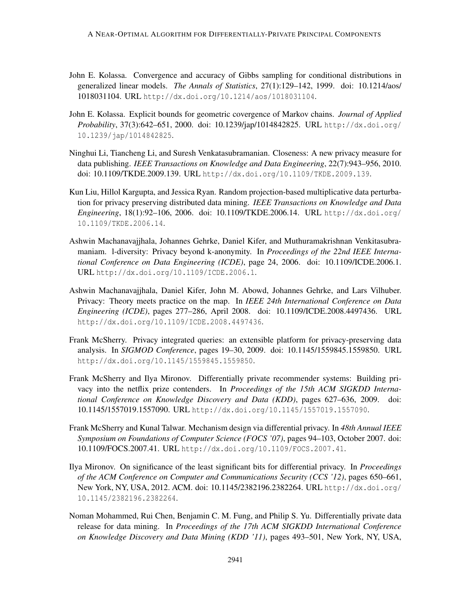- John E. Kolassa. Convergence and accuracy of Gibbs sampling for conditional distributions in generalized linear models. *The Annals of Statistics*, 27(1):129–142, 1999. doi: 10.1214/aos/ 1018031104. URL http://dx.doi.org/10.1214/aos/1018031104.
- John E. Kolassa. Explicit bounds for geometric covergence of Markov chains. *Journal of Applied Probability*, 37(3):642–651, 2000. doi: 10.1239/jap/1014842825. URL http://dx.doi.org/ 10.1239/jap/1014842825.
- Ninghui Li, Tiancheng Li, and Suresh Venkatasubramanian. Closeness: A new privacy measure for data publishing. *IEEE Transactions on Knowledge and Data Engineering*, 22(7):943–956, 2010. doi: 10.1109/TKDE.2009.139. URL http://dx.doi.org/10.1109/TKDE.2009.139.
- Kun Liu, Hillol Kargupta, and Jessica Ryan. Random projection-based multiplicative data perturbation for privacy preserving distributed data mining. *IEEE Transactions on Knowledge and Data Engineering*, 18(1):92–106, 2006. doi: 10.1109/TKDE.2006.14. URL http://dx.doi.org/ 10.1109/TKDE.2006.14.
- Ashwin Machanavajjhala, Johannes Gehrke, Daniel Kifer, and Muthuramakrishnan Venkitasubramaniam. l-diversity: Privacy beyond k-anonymity. In *Proceedings of the 22nd IEEE International Conference on Data Engineering (ICDE)*, page 24, 2006. doi: 10.1109/ICDE.2006.1. URL http://dx.doi.org/10.1109/ICDE.2006.1.
- Ashwin Machanavajjhala, Daniel Kifer, John M. Abowd, Johannes Gehrke, and Lars Vilhuber. Privacy: Theory meets practice on the map. In *IEEE 24th International Conference on Data Engineering (ICDE)*, pages 277–286, April 2008. doi: 10.1109/ICDE.2008.4497436. URL http://dx.doi.org/10.1109/ICDE.2008.4497436.
- Frank McSherry. Privacy integrated queries: an extensible platform for privacy-preserving data analysis. In *SIGMOD Conference*, pages 19–30, 2009. doi: 10.1145/1559845.1559850. URL http://dx.doi.org/10.1145/1559845.1559850.
- Frank McSherry and Ilya Mironov. Differentially private recommender systems: Building privacy into the netflix prize contenders. In *Proceedings of the 15th ACM SIGKDD International Conference on Knowledge Discovery and Data (KDD)*, pages 627–636, 2009. doi: 10.1145/1557019.1557090. URL http://dx.doi.org/10.1145/1557019.1557090.
- Frank McSherry and Kunal Talwar. Mechanism design via differential privacy. In *48th Annual IEEE Symposium on Foundations of Computer Science (FOCS '07)*, pages 94–103, October 2007. doi: 10.1109/FOCS.2007.41. URL http://dx.doi.org/10.1109/FOCS.2007.41.
- Ilya Mironov. On significance of the least significant bits for differential privacy. In *Proceedings of the ACM Conference on Computer and Communications Security (CCS '12)*, pages 650–661, New York, NY, USA, 2012. ACM. doi: 10.1145/2382196.2382264. URL http://dx.doi.org/ 10.1145/2382196.2382264.
- Noman Mohammed, Rui Chen, Benjamin C. M. Fung, and Philip S. Yu. Differentially private data release for data mining. In *Proceedings of the 17th ACM SIGKDD International Conference on Knowledge Discovery and Data Mining (KDD '11)*, pages 493–501, New York, NY, USA,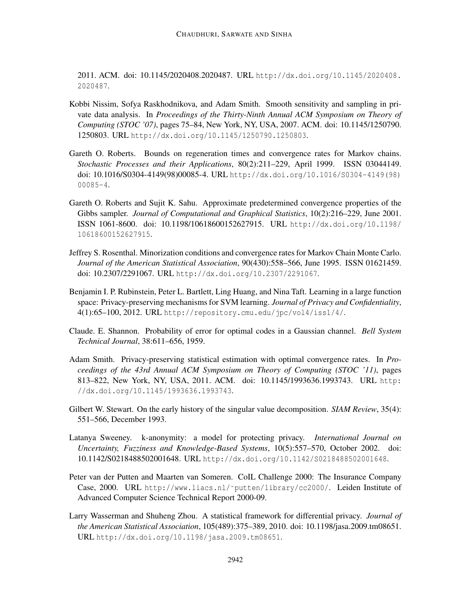2011. ACM. doi: 10.1145/2020408.2020487. URL http://dx.doi.org/10.1145/2020408. 2020487.

- Kobbi Nissim, Sofya Raskhodnikova, and Adam Smith. Smooth sensitivity and sampling in private data analysis. In *Proceedings of the Thirty-Ninth Annual ACM Symposium on Theory of Computing (STOC '07)*, pages 75–84, New York, NY, USA, 2007. ACM. doi: 10.1145/1250790. 1250803. URL http://dx.doi.org/10.1145/1250790.1250803.
- Gareth O. Roberts. Bounds on regeneration times and convergence rates for Markov chains. *Stochastic Processes and their Applications*, 80(2):211–229, April 1999. ISSN 03044149. doi: 10.1016/S0304-4149(98)00085-4. URL http://dx.doi.org/10.1016/S0304-4149(98) 00085-4.
- Gareth O. Roberts and Sujit K. Sahu. Approximate predetermined convergence properties of the Gibbs sampler. *Journal of Computational and Graphical Statistics*, 10(2):216–229, June 2001. ISSN 1061-8600. doi: 10.1198/10618600152627915. URL http://dx.doi.org/10.1198/ 10618600152627915.
- Jeffrey S. Rosenthal. Minorization conditions and convergence rates for Markov Chain Monte Carlo. *Journal of the American Statistical Association*, 90(430):558–566, June 1995. ISSN 01621459. doi: 10.2307/2291067. URL http://dx.doi.org/10.2307/2291067.
- Benjamin I. P. Rubinstein, Peter L. Bartlett, Ling Huang, and Nina Taft. Learning in a large function space: Privacy-preserving mechanisms for SVM learning. *Journal of Privacy and Confidentiality*, 4(1):65–100, 2012. URL http://repository.cmu.edu/jpc/vol4/iss1/4/.
- Claude. E. Shannon. Probability of error for optimal codes in a Gaussian channel. *Bell System Technical Journal*, 38:611–656, 1959.
- Adam Smith. Privacy-preserving statistical estimation with optimal convergence rates. In *Proceedings of the 43rd Annual ACM Symposium on Theory of Computing (STOC '11)*, pages 813–822, New York, NY, USA, 2011. ACM. doi: 10.1145/1993636.1993743. URL http: //dx.doi.org/10.1145/1993636.1993743.
- Gilbert W. Stewart. On the early history of the singular value decomposition. *SIAM Review*, 35(4): 551–566, December 1993.
- Latanya Sweeney. k-anonymity: a model for protecting privacy. *International Journal on Uncertainty, Fuzziness and Knowledge-Based Systems*, 10(5):557–570, October 2002. doi: 10.1142/S0218488502001648. URL http://dx.doi.org/10.1142/S0218488502001648.
- Peter van der Putten and Maarten van Someren. CoIL Challenge 2000: The Insurance Company Case, 2000. URL http://www.liacs.nl/~putten/library/cc2000/. Leiden Institute of Advanced Computer Science Technical Report 2000-09.
- Larry Wasserman and Shuheng Zhou. A statistical framework for differential privacy. *Journal of the American Statistical Association*, 105(489):375–389, 2010. doi: 10.1198/jasa.2009.tm08651. URL http://dx.doi.org/10.1198/jasa.2009.tm08651.